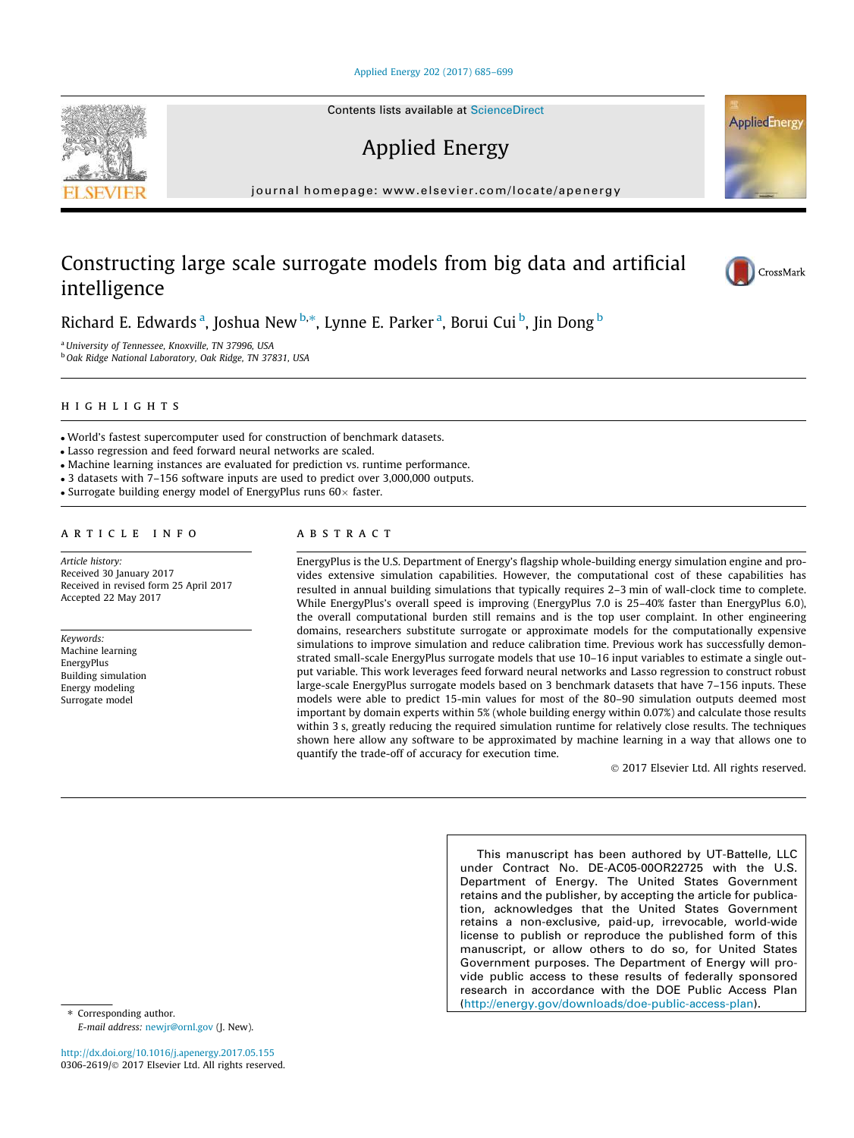### [Applied Energy 202 \(2017\) 685–699](http://dx.doi.org/10.1016/j.apenergy.2017.05.155)

Contents lists available at [ScienceDirect](http://www.sciencedirect.com/science/journal/03062619)

# Applied Energy

journal homepage: [www.elsevier.com/locate/apenergy](http://www.elsevier.com/locate/apenergy)

## Constructing large scale surrogate models from big data and artificial intelligence

Richard E. Edwards <sup>a</sup>, Joshua New <sup>b,</sup>\*, Lynne E. Parker <sup>a</sup>, Borui Cui <sup>b</sup>, Jin Dong <sup>b</sup>

<sup>a</sup>University of Tennessee, Knoxville, TN 37996, USA <sup>b</sup> Oak Ridge National Laboratory, Oak Ridge, TN 37831, USA

## highlights are the second control of the second control of the second control of the second control of the second control of the second control of the second control of the second control of the second control of the secon

World's fastest supercomputer used for construction of benchmark datasets.

Lasso regression and feed forward neural networks are scaled.

Machine learning instances are evaluated for prediction vs. runtime performance.

3 datasets with 7–156 software inputs are used to predict over 3,000,000 outputs.

• Surrogate building energy model of EnergyPlus runs  $60\times$  faster.

### article info

Article history: Received 30 January 2017 Received in revised form 25 April 2017 Accepted 22 May 2017

Keywords: Machine learning EnergyPlus Building simulation Energy modeling Surrogate model

EnergyPlus is the U.S. Department of Energy's flagship whole-building energy simulation engine and provides extensive simulation capabilities. However, the computational cost of these capabilities has resulted in annual building simulations that typically requires 2–3 min of wall-clock time to complete. While EnergyPlus's overall speed is improving (EnergyPlus 7.0 is 25–40% faster than EnergyPlus 6.0), the overall computational burden still remains and is the top user complaint. In other engineering domains, researchers substitute surrogate or approximate models for the computationally expensive simulations to improve simulation and reduce calibration time. Previous work has successfully demonstrated small-scale EnergyPlus surrogate models that use 10–16 input variables to estimate a single output variable. This work leverages feed forward neural networks and Lasso regression to construct robust large-scale EnergyPlus surrogate models based on 3 benchmark datasets that have 7–156 inputs. These models were able to predict 15-min values for most of the 80–90 simulation outputs deemed most important by domain experts within 5% (whole building energy within 0.07%) and calculate those results within 3 s, greatly reducing the required simulation runtime for relatively close results. The techniques shown here allow any software to be approximated by machine learning in a way that allows one to quantify the trade-off of accuracy for execution time.

2017 Elsevier Ltd. All rights reserved.

This manuscript has been authored by UT-Battelle, LLC under Contract No. DE-AC05-00OR22725 with the U.S. Department of Energy. The United States Government retains and the publisher, by accepting the article for publication, acknowledges that the United States Government retains a non-exclusive, paid-up, irrevocable, world-wide license to publish or reproduce the published form of this manuscript, or allow others to do so, for United States Government purposes. The Department of Energy will provide public access to these results of federally sponsored research in accordance with the DOE Public Access Plan ([http://energy.gov/downloads/doe-public-access-plan\)](http://energy.gov/downloads/doe-public-access-plan).

E-mail address: [newjr@ornl.gov](mailto:newjr@ornl.gov) (J. New).

⇑ Corresponding author.

<http://dx.doi.org/10.1016/j.apenergy.2017.05.155> 0306-2619/© 2017 Elsevier Ltd. All rights reserved.





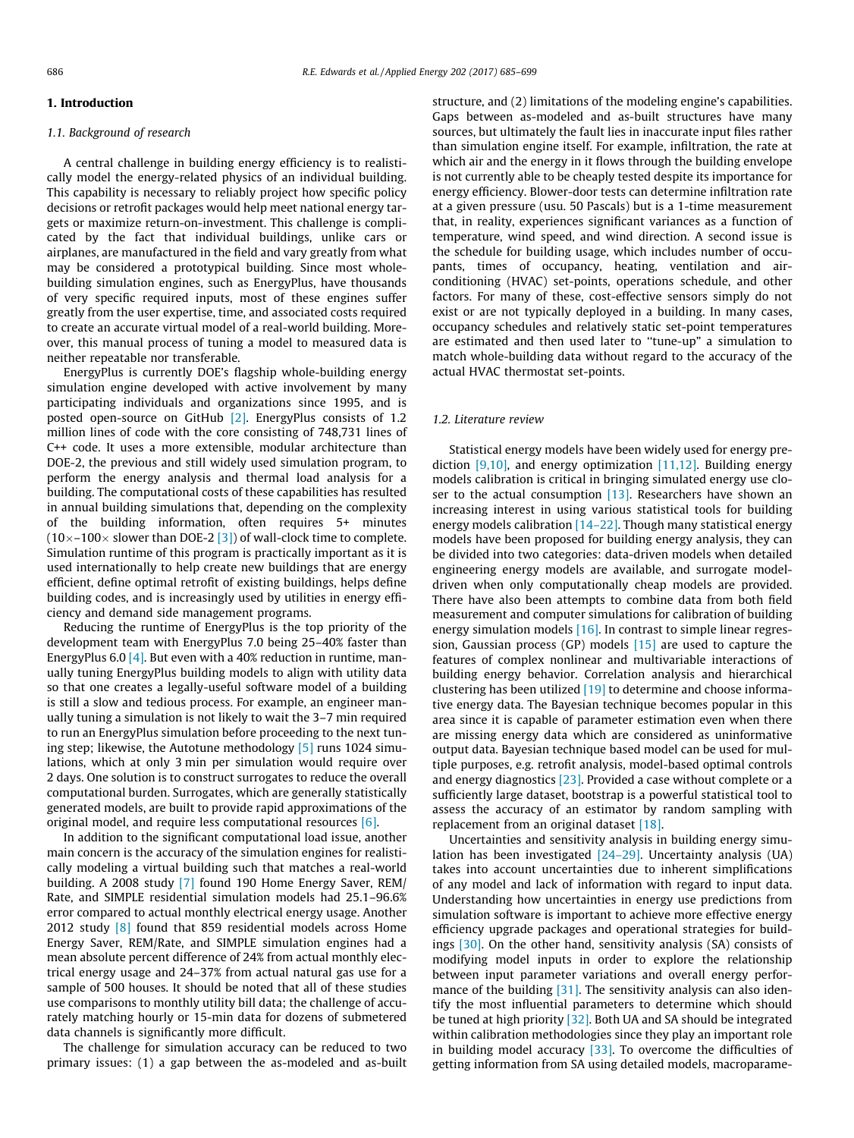### 1. Introduction

### 1.1. Background of research

A central challenge in building energy efficiency is to realistically model the energy-related physics of an individual building. This capability is necessary to reliably project how specific policy decisions or retrofit packages would help meet national energy targets or maximize return-on-investment. This challenge is complicated by the fact that individual buildings, unlike cars or airplanes, are manufactured in the field and vary greatly from what may be considered a prototypical building. Since most wholebuilding simulation engines, such as EnergyPlus, have thousands of very specific required inputs, most of these engines suffer greatly from the user expertise, time, and associated costs required to create an accurate virtual model of a real-world building. Moreover, this manual process of tuning a model to measured data is neither repeatable nor transferable.

EnergyPlus is currently DOE's flagship whole-building energy simulation engine developed with active involvement by many participating individuals and organizations since 1995, and is posted open-source on GitHub [\[2\].](#page-13-0) EnergyPlus consists of 1.2 million lines of code with the core consisting of 748,731 lines of C++ code. It uses a more extensible, modular architecture than DOE-2, the previous and still widely used simulation program, to perform the energy analysis and thermal load analysis for a building. The computational costs of these capabilities has resulted in annual building simulations that, depending on the complexity of the building information, often requires 5+ minutes  $(10\times-100\times$  slower than DOE-2 [\[3\]](#page-13-0)) of wall-clock time to complete. Simulation runtime of this program is practically important as it is used internationally to help create new buildings that are energy efficient, define optimal retrofit of existing buildings, helps define building codes, and is increasingly used by utilities in energy efficiency and demand side management programs.

Reducing the runtime of EnergyPlus is the top priority of the development team with EnergyPlus 7.0 being 25–40% faster than EnergyPlus 6.0 [\[4\].](#page-13-0) But even with a 40% reduction in runtime, manually tuning EnergyPlus building models to align with utility data so that one creates a legally-useful software model of a building is still a slow and tedious process. For example, an engineer manually tuning a simulation is not likely to wait the 3–7 min required to run an EnergyPlus simulation before proceeding to the next tuning step; likewise, the Autotune methodology [\[5\]](#page-13-0) runs 1024 simulations, which at only 3 min per simulation would require over 2 days. One solution is to construct surrogates to reduce the overall computational burden. Surrogates, which are generally statistically generated models, are built to provide rapid approximations of the original model, and require less computational resources [\[6\].](#page-13-0)

In addition to the significant computational load issue, another main concern is the accuracy of the simulation engines for realistically modeling a virtual building such that matches a real-world building. A 2008 study [\[7\]](#page-13-0) found 190 Home Energy Saver, REM/ Rate, and SIMPLE residential simulation models had 25.1–96.6% error compared to actual monthly electrical energy usage. Another 2012 study [\[8\]](#page-13-0) found that 859 residential models across Home Energy Saver, REM/Rate, and SIMPLE simulation engines had a mean absolute percent difference of 24% from actual monthly electrical energy usage and 24–37% from actual natural gas use for a sample of 500 houses. It should be noted that all of these studies use comparisons to monthly utility bill data; the challenge of accurately matching hourly or 15-min data for dozens of submetered data channels is significantly more difficult.

The challenge for simulation accuracy can be reduced to two primary issues: (1) a gap between the as-modeled and as-built structure, and (2) limitations of the modeling engine's capabilities. Gaps between as-modeled and as-built structures have many sources, but ultimately the fault lies in inaccurate input files rather than simulation engine itself. For example, infiltration, the rate at which air and the energy in it flows through the building envelope is not currently able to be cheaply tested despite its importance for energy efficiency. Blower-door tests can determine infiltration rate at a given pressure (usu. 50 Pascals) but is a 1-time measurement that, in reality, experiences significant variances as a function of temperature, wind speed, and wind direction. A second issue is the schedule for building usage, which includes number of occupants, times of occupancy, heating, ventilation and airconditioning (HVAC) set-points, operations schedule, and other factors. For many of these, cost-effective sensors simply do not exist or are not typically deployed in a building. In many cases, occupancy schedules and relatively static set-point temperatures are estimated and then used later to ''tune-up" a simulation to match whole-building data without regard to the accuracy of the actual HVAC thermostat set-points.

### 1.2. Literature review

Statistical energy models have been widely used for energy prediction  $[9,10]$ , and energy optimization  $[11,12]$ . Building energy models calibration is critical in bringing simulated energy use closer to the actual consumption  $[13]$ . Researchers have shown an increasing interest in using various statistical tools for building energy models calibration [\[14–22\]](#page-13-0). Though many statistical energy models have been proposed for building energy analysis, they can be divided into two categories: data-driven models when detailed engineering energy models are available, and surrogate modeldriven when only computationally cheap models are provided. There have also been attempts to combine data from both field measurement and computer simulations for calibration of building energy simulation models [\[16\].](#page-13-0) In contrast to simple linear regression, Gaussian process (GP) models  $[15]$  are used to capture the features of complex nonlinear and multivariable interactions of building energy behavior. Correlation analysis and hierarchical clustering has been utilized [\[19\]](#page-13-0) to determine and choose informative energy data. The Bayesian technique becomes popular in this area since it is capable of parameter estimation even when there are missing energy data which are considered as uninformative output data. Bayesian technique based model can be used for multiple purposes, e.g. retrofit analysis, model-based optimal controls and energy diagnostics  $[23]$ . Provided a case without complete or a sufficiently large dataset, bootstrap is a powerful statistical tool to assess the accuracy of an estimator by random sampling with replacement from an original dataset [\[18\]](#page-13-0).

Uncertainties and sensitivity analysis in building energy simulation has been investigated  $[24-29]$ . Uncertainty analysis (UA) takes into account uncertainties due to inherent simplifications of any model and lack of information with regard to input data. Understanding how uncertainties in energy use predictions from simulation software is important to achieve more effective energy efficiency upgrade packages and operational strategies for buildings [\[30\].](#page-14-0) On the other hand, sensitivity analysis (SA) consists of modifying model inputs in order to explore the relationship between input parameter variations and overall energy perfor-mance of the building [\[31\].](#page-14-0) The sensitivity analysis can also identify the most influential parameters to determine which should be tuned at high priority [\[32\].](#page-14-0) Both UA and SA should be integrated within calibration methodologies since they play an important role in building model accuracy  $[33]$ . To overcome the difficulties of getting information from SA using detailed models, macroparame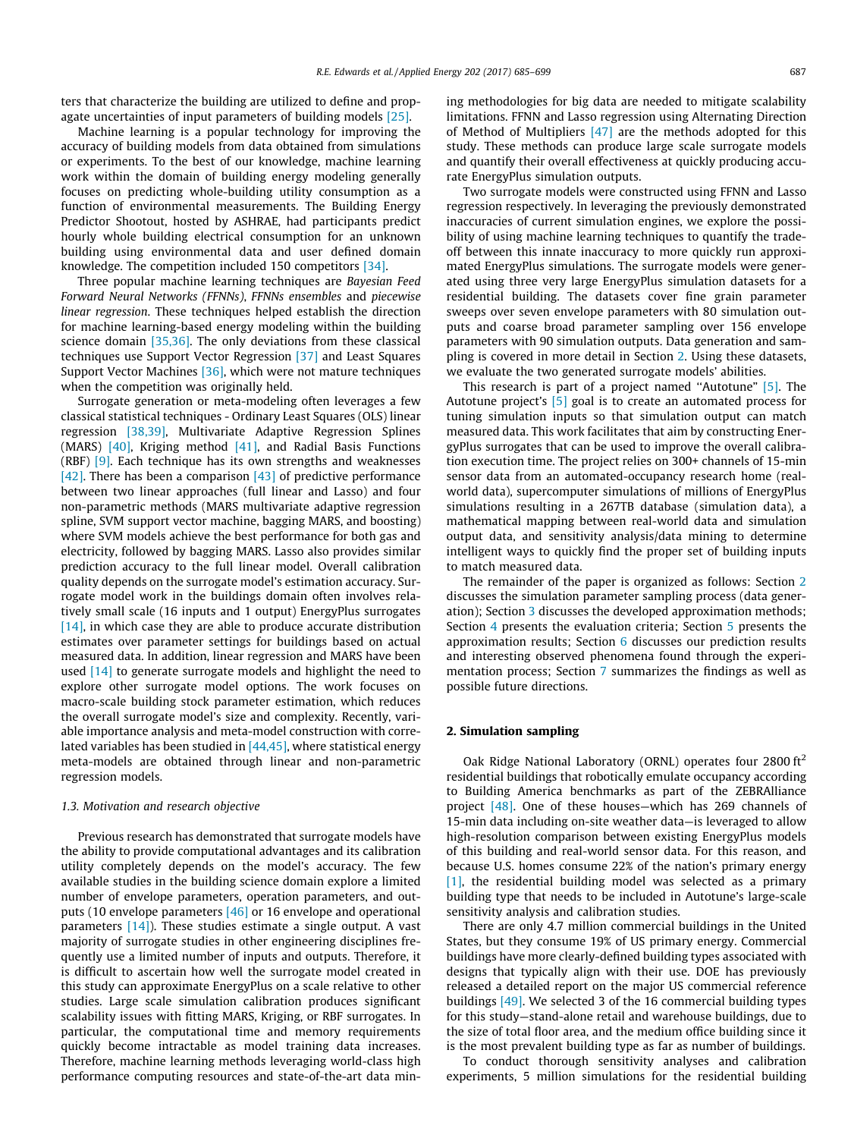<span id="page-2-0"></span>ters that characterize the building are utilized to define and propagate uncertainties of input parameters of building models [\[25\]](#page-14-0).

Machine learning is a popular technology for improving the accuracy of building models from data obtained from simulations or experiments. To the best of our knowledge, machine learning work within the domain of building energy modeling generally focuses on predicting whole-building utility consumption as a function of environmental measurements. The Building Energy Predictor Shootout, hosted by ASHRAE, had participants predict hourly whole building electrical consumption for an unknown building using environmental data and user defined domain knowledge. The competition included 150 competitors [\[34\].](#page-14-0)

Three popular machine learning techniques are Bayesian Feed Forward Neural Networks (FFNNs), FFNNs ensembles and piecewise linear regression. These techniques helped establish the direction for machine learning-based energy modeling within the building science domain [\[35,36\]](#page-14-0). The only deviations from these classical techniques use Support Vector Regression [\[37\]](#page-14-0) and Least Squares Support Vector Machines [\[36\]](#page-14-0), which were not mature techniques when the competition was originally held.

Surrogate generation or meta-modeling often leverages a few classical statistical techniques - Ordinary Least Squares (OLS) linear regression [\[38,39\]](#page-14-0), Multivariate Adaptive Regression Splines (MARS) [\[40\]](#page-14-0), Kriging method [\[41\]](#page-14-0), and Radial Basis Functions (RBF)  $[9]$ . Each technique has its own strengths and weaknesses [\[42\].](#page-14-0) There has been a comparison [\[43\]](#page-14-0) of predictive performance between two linear approaches (full linear and Lasso) and four non-parametric methods (MARS multivariate adaptive regression spline, SVM support vector machine, bagging MARS, and boosting) where SVM models achieve the best performance for both gas and electricity, followed by bagging MARS. Lasso also provides similar prediction accuracy to the full linear model. Overall calibration quality depends on the surrogate model's estimation accuracy. Surrogate model work in the buildings domain often involves relatively small scale (16 inputs and 1 output) EnergyPlus surrogates [\[14\],](#page-13-0) in which case they are able to produce accurate distribution estimates over parameter settings for buildings based on actual measured data. In addition, linear regression and MARS have been used [\[14\]](#page-13-0) to generate surrogate models and highlight the need to explore other surrogate model options. The work focuses on macro-scale building stock parameter estimation, which reduces the overall surrogate model's size and complexity. Recently, variable importance analysis and meta-model construction with correlated variables has been studied in  $[44,45]$ , where statistical energy meta-models are obtained through linear and non-parametric regression models.

### 1.3. Motivation and research objective

Previous research has demonstrated that surrogate models have the ability to provide computational advantages and its calibration utility completely depends on the model's accuracy. The few available studies in the building science domain explore a limited number of envelope parameters, operation parameters, and outputs (10 envelope parameters [\[46\]](#page-14-0) or 16 envelope and operational parameters  $[14]$ ). These studies estimate a single output. A vast majority of surrogate studies in other engineering disciplines frequently use a limited number of inputs and outputs. Therefore, it is difficult to ascertain how well the surrogate model created in this study can approximate EnergyPlus on a scale relative to other studies. Large scale simulation calibration produces significant scalability issues with fitting MARS, Kriging, or RBF surrogates. In particular, the computational time and memory requirements quickly become intractable as model training data increases. Therefore, machine learning methods leveraging world-class high performance computing resources and state-of-the-art data mining methodologies for big data are needed to mitigate scalability limitations. FFNN and Lasso regression using Alternating Direction of Method of Multipliers [\[47\]](#page-14-0) are the methods adopted for this study. These methods can produce large scale surrogate models and quantify their overall effectiveness at quickly producing accurate EnergyPlus simulation outputs.

Two surrogate models were constructed using FFNN and Lasso regression respectively. In leveraging the previously demonstrated inaccuracies of current simulation engines, we explore the possibility of using machine learning techniques to quantify the tradeoff between this innate inaccuracy to more quickly run approximated EnergyPlus simulations. The surrogate models were generated using three very large EnergyPlus simulation datasets for a residential building. The datasets cover fine grain parameter sweeps over seven envelope parameters with 80 simulation outputs and coarse broad parameter sampling over 156 envelope parameters with 90 simulation outputs. Data generation and sampling is covered in more detail in Section 2. Using these datasets, we evaluate the two generated surrogate models' abilities.

This research is part of a project named "Autotune" [\[5\]](#page-13-0). The Autotune project's [\[5\]](#page-13-0) goal is to create an automated process for tuning simulation inputs so that simulation output can match measured data. This work facilitates that aim by constructing EnergyPlus surrogates that can be used to improve the overall calibration execution time. The project relies on 300+ channels of 15-min sensor data from an automated-occupancy research home (realworld data), supercomputer simulations of millions of EnergyPlus simulations resulting in a 267TB database (simulation data), a mathematical mapping between real-world data and simulation output data, and sensitivity analysis/data mining to determine intelligent ways to quickly find the proper set of building inputs to match measured data.

The remainder of the paper is organized as follows: Section 2 discusses the simulation parameter sampling process (data generation); Section [3](#page-3-0) discusses the developed approximation methods; Section [4](#page-5-0) presents the evaluation criteria; Section [5](#page-7-0) presents the approximation results; Section [6](#page-11-0) discusses our prediction results and interesting observed phenomena found through the experimentation process; Section [7](#page-13-0) summarizes the findings as well as possible future directions.

### 2. Simulation sampling

Oak Ridge National Laboratory (ORNL) operates four 2800 ft<sup>2</sup> residential buildings that robotically emulate occupancy according to Building America benchmarks as part of the ZEBRAlliance project [\[48\]](#page-14-0). One of these houses—which has 269 channels of 15-min data including on-site weather data—is leveraged to allow high-resolution comparison between existing EnergyPlus models of this building and real-world sensor data. For this reason, and because U.S. homes consume 22% of the nation's primary energy [\[1\]](#page-13-0), the residential building model was selected as a primary building type that needs to be included in Autotune's large-scale sensitivity analysis and calibration studies.

There are only 4.7 million commercial buildings in the United States, but they consume 19% of US primary energy. Commercial buildings have more clearly-defined building types associated with designs that typically align with their use. DOE has previously released a detailed report on the major US commercial reference buildings [\[49\]](#page-14-0). We selected 3 of the 16 commercial building types for this study—stand-alone retail and warehouse buildings, due to the size of total floor area, and the medium office building since it is the most prevalent building type as far as number of buildings.

To conduct thorough sensitivity analyses and calibration experiments, 5 million simulations for the residential building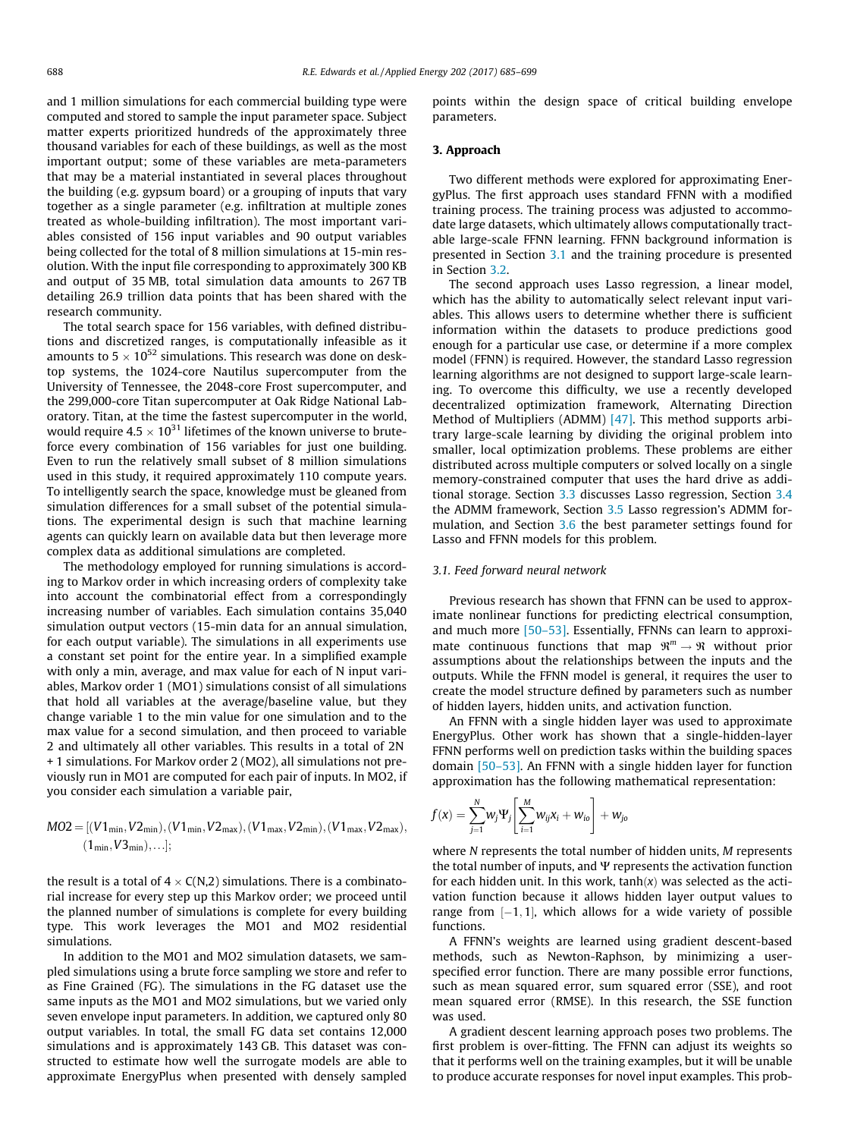<span id="page-3-0"></span>and 1 million simulations for each commercial building type were computed and stored to sample the input parameter space. Subject matter experts prioritized hundreds of the approximately three thousand variables for each of these buildings, as well as the most important output; some of these variables are meta-parameters that may be a material instantiated in several places throughout the building (e.g. gypsum board) or a grouping of inputs that vary together as a single parameter (e.g. infiltration at multiple zones treated as whole-building infiltration). The most important variables consisted of 156 input variables and 90 output variables being collected for the total of 8 million simulations at 15-min resolution. With the input file corresponding to approximately 300 KB and output of 35 MB, total simulation data amounts to 267 TB detailing 26.9 trillion data points that has been shared with the research community.

The total search space for 156 variables, with defined distributions and discretized ranges, is computationally infeasible as it amounts to  $5 \times 10^{52}$  simulations. This research was done on desktop systems, the 1024-core Nautilus supercomputer from the University of Tennessee, the 2048-core Frost supercomputer, and the 299,000-core Titan supercomputer at Oak Ridge National Laboratory. Titan, at the time the fastest supercomputer in the world, would require  $4.5 \times 10^{31}$  lifetimes of the known universe to bruteforce every combination of 156 variables for just one building. Even to run the relatively small subset of 8 million simulations used in this study, it required approximately 110 compute years. To intelligently search the space, knowledge must be gleaned from simulation differences for a small subset of the potential simulations. The experimental design is such that machine learning agents can quickly learn on available data but then leverage more complex data as additional simulations are completed.

The methodology employed for running simulations is according to Markov order in which increasing orders of complexity take into account the combinatorial effect from a correspondingly increasing number of variables. Each simulation contains 35,040 simulation output vectors (15-min data for an annual simulation, for each output variable). The simulations in all experiments use a constant set point for the entire year. In a simplified example with only a min, average, and max value for each of N input variables, Markov order 1 (MO1) simulations consist of all simulations that hold all variables at the average/baseline value, but they change variable 1 to the min value for one simulation and to the max value for a second simulation, and then proceed to variable 2 and ultimately all other variables. This results in a total of 2N + 1 simulations. For Markov order 2 (MO2), all simulations not previously run in MO1 are computed for each pair of inputs. In MO2, if you consider each simulation a variable pair,

$$
\begin{aligned} MO2 = [(V1_{min}, V2_{min}), (V1_{min}, V2_{max}), (V1_{max}, V2_{min}), (V1_{max}, V2_{max}), \\ (1_{min}, V3_{min}), \ldots]; \end{aligned}
$$

the result is a total of  $4 \times C(N,2)$  simulations. There is a combinatorial increase for every step up this Markov order; we proceed until the planned number of simulations is complete for every building type. This work leverages the MO1 and MO2 residential simulations.

In addition to the MO1 and MO2 simulation datasets, we sampled simulations using a brute force sampling we store and refer to as Fine Grained (FG). The simulations in the FG dataset use the same inputs as the MO1 and MO2 simulations, but we varied only seven envelope input parameters. In addition, we captured only 80 output variables. In total, the small FG data set contains 12,000 simulations and is approximately 143 GB. This dataset was constructed to estimate how well the surrogate models are able to approximate EnergyPlus when presented with densely sampled points within the design space of critical building envelope parameters.

### 3. Approach

Two different methods were explored for approximating EnergyPlus. The first approach uses standard FFNN with a modified training process. The training process was adjusted to accommodate large datasets, which ultimately allows computationally tractable large-scale FFNN learning. FFNN background information is presented in Section 3.1 and the training procedure is presented in Section [3.2](#page-4-0).

The second approach uses Lasso regression, a linear model, which has the ability to automatically select relevant input variables. This allows users to determine whether there is sufficient information within the datasets to produce predictions good enough for a particular use case, or determine if a more complex model (FFNN) is required. However, the standard Lasso regression learning algorithms are not designed to support large-scale learning. To overcome this difficulty, we use a recently developed decentralized optimization framework, Alternating Direction Method of Multipliers (ADMM) [\[47\]](#page-14-0). This method supports arbitrary large-scale learning by dividing the original problem into smaller, local optimization problems. These problems are either distributed across multiple computers or solved locally on a single memory-constrained computer that uses the hard drive as additional storage. Section [3.3](#page-4-0) discusses Lasso regression, Section [3.4](#page-4-0) the ADMM framework, Section [3.5](#page-5-0) Lasso regression's ADMM formulation, and Section [3.6](#page-5-0) the best parameter settings found for Lasso and FFNN models for this problem.

### 3.1. Feed forward neural network

Previous research has shown that FFNN can be used to approximate nonlinear functions for predicting electrical consumption, and much more [\[50–53\]](#page-14-0). Essentially, FFNNs can learn to approximate continuous functions that map  $\mathfrak{R}^m \to \mathfrak{R}$  without prior assumptions about the relationships between the inputs and the outputs. While the FFNN model is general, it requires the user to create the model structure defined by parameters such as number of hidden layers, hidden units, and activation function.

An FFNN with a single hidden layer was used to approximate EnergyPlus. Other work has shown that a single-hidden-layer FFNN performs well on prediction tasks within the building spaces domain [\[50–53\].](#page-14-0) An FFNN with a single hidden layer for function approximation has the following mathematical representation:

$$
f(x) = \sum_{j=1}^N w_j \Psi_j \left[ \sum_{i=1}^M w_{ij} x_i + w_{io} \right] + w_{jo}
$$

where N represents the total number of hidden units, M represents the total number of inputs, and  $\Psi$  represents the activation function for each hidden unit. In this work,  $tanh(x)$  was selected as the activation function because it allows hidden layer output values to range from  $[-1, 1]$ , which allows for a wide variety of possible functions.

A FFNN's weights are learned using gradient descent-based methods, such as Newton-Raphson, by minimizing a userspecified error function. There are many possible error functions, such as mean squared error, sum squared error (SSE), and root mean squared error (RMSE). In this research, the SSE function was used.

A gradient descent learning approach poses two problems. The first problem is over-fitting. The FFNN can adjust its weights so that it performs well on the training examples, but it will be unable to produce accurate responses for novel input examples. This prob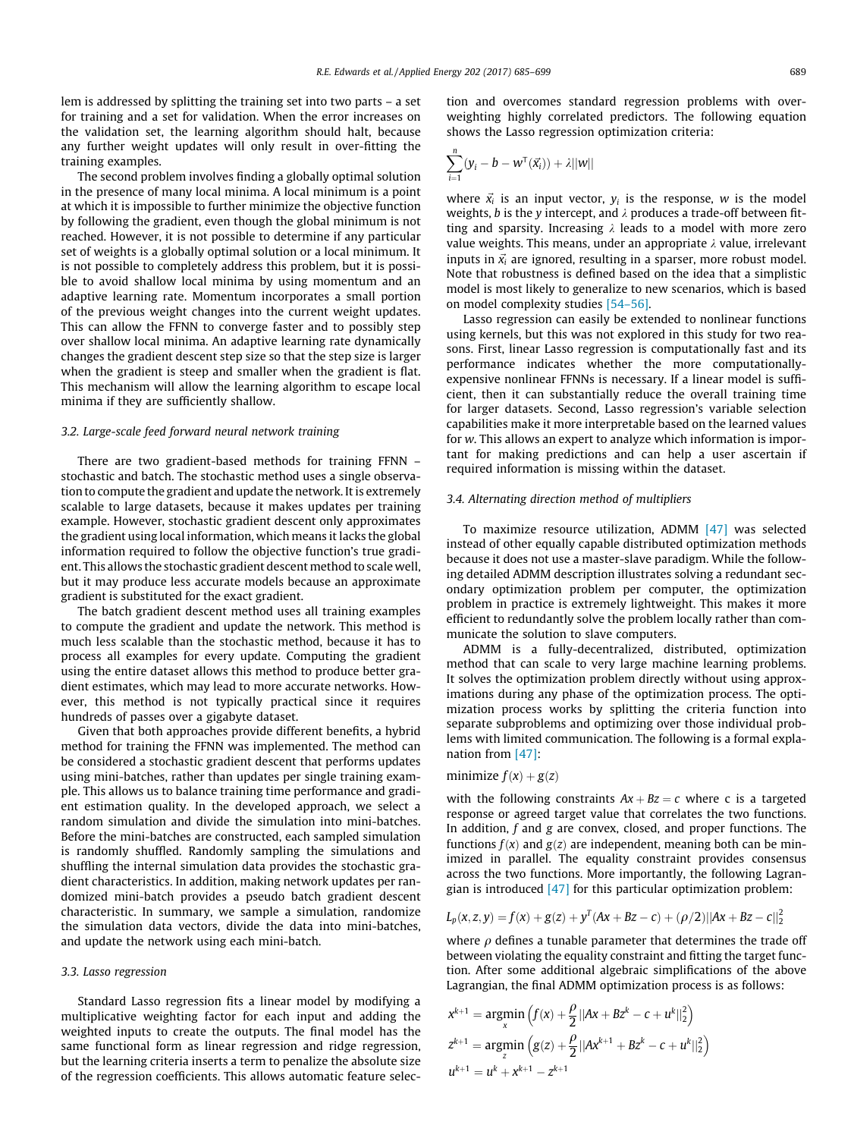<span id="page-4-0"></span>lem is addressed by splitting the training set into two parts – a set for training and a set for validation. When the error increases on the validation set, the learning algorithm should halt, because any further weight updates will only result in over-fitting the training examples.

The second problem involves finding a globally optimal solution in the presence of many local minima. A local minimum is a point at which it is impossible to further minimize the objective function by following the gradient, even though the global minimum is not reached. However, it is not possible to determine if any particular set of weights is a globally optimal solution or a local minimum. It is not possible to completely address this problem, but it is possible to avoid shallow local minima by using momentum and an adaptive learning rate. Momentum incorporates a small portion of the previous weight changes into the current weight updates. This can allow the FFNN to converge faster and to possibly step over shallow local minima. An adaptive learning rate dynamically changes the gradient descent step size so that the step size is larger when the gradient is steep and smaller when the gradient is flat. This mechanism will allow the learning algorithm to escape local minima if they are sufficiently shallow.

### 3.2. Large-scale feed forward neural network training

There are two gradient-based methods for training FFNN – stochastic and batch. The stochastic method uses a single observation to compute the gradient and update the network. It is extremely scalable to large datasets, because it makes updates per training example. However, stochastic gradient descent only approximates the gradient using local information, which means it lacks the global information required to follow the objective function's true gradient. This allows the stochastic gradient descent method to scale well, but it may produce less accurate models because an approximate gradient is substituted for the exact gradient.

The batch gradient descent method uses all training examples to compute the gradient and update the network. This method is much less scalable than the stochastic method, because it has to process all examples for every update. Computing the gradient using the entire dataset allows this method to produce better gradient estimates, which may lead to more accurate networks. However, this method is not typically practical since it requires hundreds of passes over a gigabyte dataset.

Given that both approaches provide different benefits, a hybrid method for training the FFNN was implemented. The method can be considered a stochastic gradient descent that performs updates using mini-batches, rather than updates per single training example. This allows us to balance training time performance and gradient estimation quality. In the developed approach, we select a random simulation and divide the simulation into mini-batches. Before the mini-batches are constructed, each sampled simulation is randomly shuffled. Randomly sampling the simulations and shuffling the internal simulation data provides the stochastic gradient characteristics. In addition, making network updates per randomized mini-batch provides a pseudo batch gradient descent characteristic. In summary, we sample a simulation, randomize the simulation data vectors, divide the data into mini-batches, and update the network using each mini-batch.

#### 3.3. Lasso regression

Standard Lasso regression fits a linear model by modifying a multiplicative weighting factor for each input and adding the weighted inputs to create the outputs. The final model has the same functional form as linear regression and ridge regression, but the learning criteria inserts a term to penalize the absolute size of the regression coefficients. This allows automatic feature selection and overcomes standard regression problems with overweighting highly correlated predictors. The following equation shows the Lasso regression optimization criteria:

$$
\sum_{i=1}^n (y_i - b - w^{\mathsf{T}}(\vec{x_i})) + \lambda ||w||
$$

where  $\vec{x_i}$  is an input vector,  $y_i$  is the response, w is the model weights, b is the y intercept, and  $\lambda$  produces a trade-off between fitting and sparsity. Increasing  $\lambda$  leads to a model with more zero value weights. This means, under an appropriate  $\lambda$  value, irrelevant inputs in  $\vec{x_i}$  are ignored, resulting in a sparser, more robust model. Note that robustness is defined based on the idea that a simplistic model is most likely to generalize to new scenarios, which is based on model complexity studies [\[54–56\]](#page-14-0).

Lasso regression can easily be extended to nonlinear functions using kernels, but this was not explored in this study for two reasons. First, linear Lasso regression is computationally fast and its performance indicates whether the more computationallyexpensive nonlinear FFNNs is necessary. If a linear model is sufficient, then it can substantially reduce the overall training time for larger datasets. Second, Lasso regression's variable selection capabilities make it more interpretable based on the learned values for w. This allows an expert to analyze which information is important for making predictions and can help a user ascertain if required information is missing within the dataset.

### 3.4. Alternating direction method of multipliers

To maximize resource utilization, ADMM  $[47]$  was selected instead of other equally capable distributed optimization methods because it does not use a master-slave paradigm. While the following detailed ADMM description illustrates solving a redundant secondary optimization problem per computer, the optimization problem in practice is extremely lightweight. This makes it more efficient to redundantly solve the problem locally rather than communicate the solution to slave computers.

ADMM is a fully-decentralized, distributed, optimization method that can scale to very large machine learning problems. It solves the optimization problem directly without using approximations during any phase of the optimization process. The optimization process works by splitting the criteria function into separate subproblems and optimizing over those individual problems with limited communication. The following is a formal explanation from [\[47\]:](#page-14-0)

### minimize  $f(x) + g(z)$

with the following constraints  $Ax + Bz = c$  where c is a targeted response or agreed target value that correlates the two functions. In addition,  $f$  and  $g$  are convex, closed, and proper functions. The functions  $f(x)$  and  $g(z)$  are independent, meaning both can be minimized in parallel. The equality constraint provides consensus across the two functions. More importantly, the following Lagrangian is introduced  $[47]$  for this particular optimization problem:

$$
L_p(x, z, y) = f(x) + g(z) + y^{T}(Ax + Bz - c) + (\rho/2)||Ax + Bz - c||_2^2
$$

where  $\rho$  defines a tunable parameter that determines the trade off between violating the equality constraint and fitting the target function. After some additional algebraic simplifications of the above Lagrangian, the final ADMM optimization process is as follows:

$$
x^{k+1} = \underset{x}{\operatorname{argmin}} \left( f(x) + \frac{\rho}{2} ||Ax + Bz^{k} - c + u^{k}||_{2}^{2} \right)
$$
  

$$
z^{k+1} = \underset{z}{\operatorname{argmin}} \left( g(z) + \frac{\rho}{2} ||Ax^{k+1} + Bz^{k} - c + u^{k}||_{2}^{2} \right)
$$
  

$$
u^{k+1} = u^{k} + x^{k+1} - z^{k+1}
$$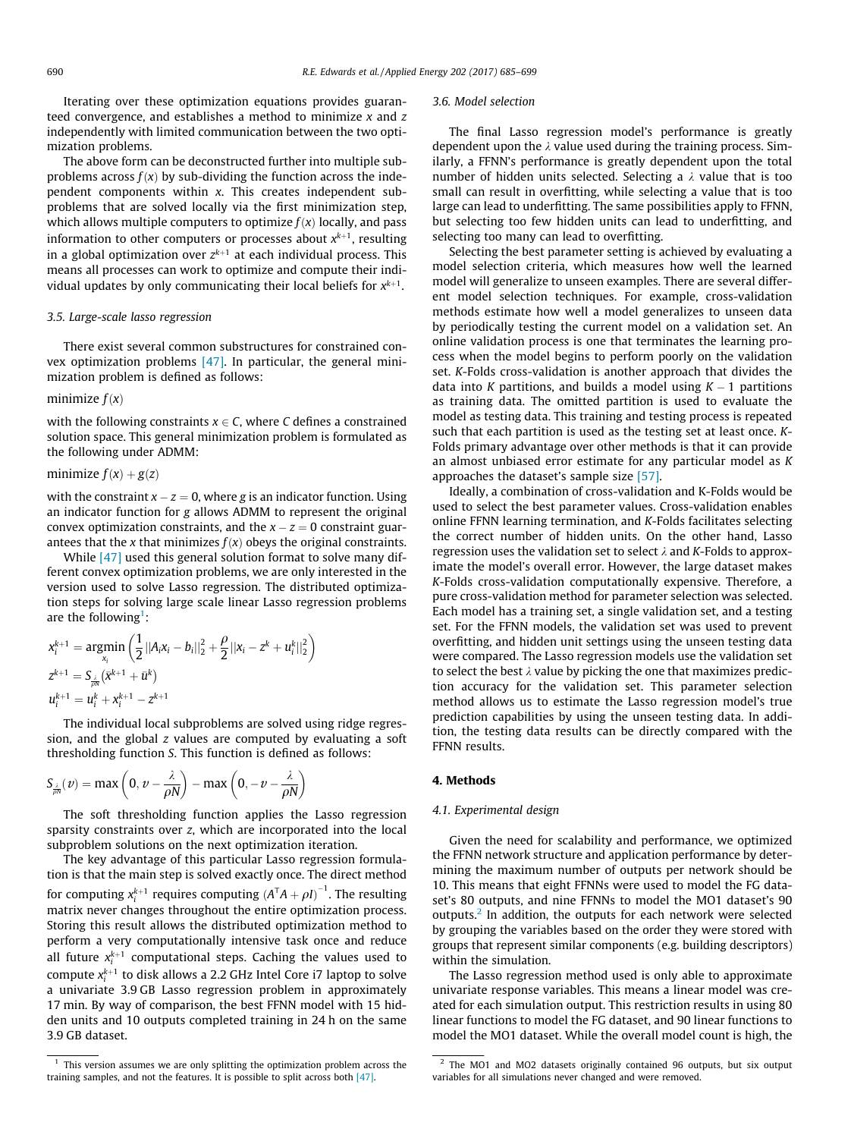<span id="page-5-0"></span>Iterating over these optimization equations provides guaranteed convergence, and establishes a method to minimize  $x$  and  $z$ independently with limited communication between the two optimization problems.

The above form can be deconstructed further into multiple subproblems across  $f(x)$  by sub-dividing the function across the independent components within x. This creates independent subproblems that are solved locally via the first minimization step, which allows multiple computers to optimize  $f(x)$  locally, and pass information to other computers or processes about  $x^{k+1}$ , resulting in a global optimization over  $z^{k+1}$  at each individual process. This means all processes can work to optimize and compute their individual updates by only communicating their local beliefs for  $x^{k+1}$ .

### 3.5. Large-scale lasso regression

There exist several common substructures for constrained convex optimization problems [\[47\]](#page-14-0). In particular, the general minimization problem is defined as follows:

### minimize  $f(x)$

with the following constraints  $x \in C$ , where C defines a constrained solution space. This general minimization problem is formulated as the following under ADMM:

## minimize  $f(x) + g(z)$

with the constraint  $x - z = 0$ , where g is an indicator function. Using an indicator function for g allows ADMM to represent the original convex optimization constraints, and the  $x - z = 0$  constraint guarantees that the x that minimizes  $f(x)$  obeys the original constraints.

While [\[47\]](#page-14-0) used this general solution format to solve many different convex optimization problems, we are only interested in the version used to solve Lasso regression. The distributed optimization steps for solving large scale linear Lasso regression problems are the following<sup>1</sup>:

$$
x_i^{k+1} = \underset{x_i}{\text{argmin}} \left( \frac{1}{2} ||A_i x_i - b_i||_2^2 + \frac{\rho}{2} ||x_i - z^k + u_i^k||_2^2 \right)
$$
  

$$
z^{k+1} = S_{\frac{\lambda}{\rho^k}} (\bar{x}^{k+1} + \bar{u}^k)
$$
  

$$
u_i^{k+1} = u_i^k + x_i^{k+1} - z^{k+1}
$$

The individual local subproblems are solved using ridge regression, and the global z values are computed by evaluating a soft thresholding function S. This function is defined as follows:

$$
S_{\frac{\lambda}{\rho N}}(\nu) = \max\left(0, \nu - \frac{\lambda}{\rho N}\right) - \max\left(0, -\nu - \frac{\lambda}{\rho N}\right)
$$

The soft thresholding function applies the Lasso regression sparsity constraints over z, which are incorporated into the local subproblem solutions on the next optimization iteration.

The key advantage of this particular Lasso regression formulation is that the main step is solved exactly once. The direct method for computing  $x_i^{k+1}$  requires computing  $(A^TA + \rho I)^{-1}$ . The resulting matrix never changes throughout the entire optimization process. Storing this result allows the distributed optimization method to perform a very computationally intensive task once and reduce all future  $x_i^{k+1}$  computational steps. Caching the values used to compute  $x_i^{k+1}$  to disk allows a 2.2 GHz Intel Core i7 laptop to solve a univariate 3.9 GB Lasso regression problem in approximately 17 min. By way of comparison, the best FFNN model with 15 hidden units and 10 outputs completed training in 24 h on the same 3.9 GB dataset.

### 3.6. Model selection

The final Lasso regression model's performance is greatly dependent upon the  $\lambda$  value used during the training process. Similarly, a FFNN's performance is greatly dependent upon the total number of hidden units selected. Selecting a  $\lambda$  value that is too small can result in overfitting, while selecting a value that is too large can lead to underfitting. The same possibilities apply to FFNN, but selecting too few hidden units can lead to underfitting, and selecting too many can lead to overfitting.

Selecting the best parameter setting is achieved by evaluating a model selection criteria, which measures how well the learned model will generalize to unseen examples. There are several different model selection techniques. For example, cross-validation methods estimate how well a model generalizes to unseen data by periodically testing the current model on a validation set. An online validation process is one that terminates the learning process when the model begins to perform poorly on the validation set. K-Folds cross-validation is another approach that divides the data into K partitions, and builds a model using  $K - 1$  partitions as training data. The omitted partition is used to evaluate the model as testing data. This training and testing process is repeated such that each partition is used as the testing set at least once. K-Folds primary advantage over other methods is that it can provide an almost unbiased error estimate for any particular model as K approaches the dataset's sample size [\[57\]](#page-14-0).

Ideally, a combination of cross-validation and K-Folds would be used to select the best parameter values. Cross-validation enables online FFNN learning termination, and K-Folds facilitates selecting the correct number of hidden units. On the other hand, Lasso regression uses the validation set to select  $\lambda$  and K-Folds to approximate the model's overall error. However, the large dataset makes K-Folds cross-validation computationally expensive. Therefore, a pure cross-validation method for parameter selection was selected. Each model has a training set, a single validation set, and a testing set. For the FFNN models, the validation set was used to prevent overfitting, and hidden unit settings using the unseen testing data were compared. The Lasso regression models use the validation set to select the best  $\lambda$  value by picking the one that maximizes prediction accuracy for the validation set. This parameter selection method allows us to estimate the Lasso regression model's true prediction capabilities by using the unseen testing data. In addition, the testing data results can be directly compared with the FFNN results.

### 4. Methods

#### 4.1. Experimental design

Given the need for scalability and performance, we optimized the FFNN network structure and application performance by determining the maximum number of outputs per network should be 10. This means that eight FFNNs were used to model the FG dataset's 80 outputs, and nine FFNNs to model the MO1 dataset's 90 outputs.2 In addition, the outputs for each network were selected by grouping the variables based on the order they were stored with groups that represent similar components (e.g. building descriptors) within the simulation.

The Lasso regression method used is only able to approximate univariate response variables. This means a linear model was created for each simulation output. This restriction results in using 80 linear functions to model the FG dataset, and 90 linear functions to model the MO1 dataset. While the overall model count is high, the

 $1$  This version assumes we are only splitting the optimization problem across the training samples, and not the features. It is possible to split across both [\[47\].](#page-14-0)

<sup>&</sup>lt;sup>2</sup> The MO1 and MO2 datasets originally contained 96 outputs, but six output variables for all simulations never changed and were removed.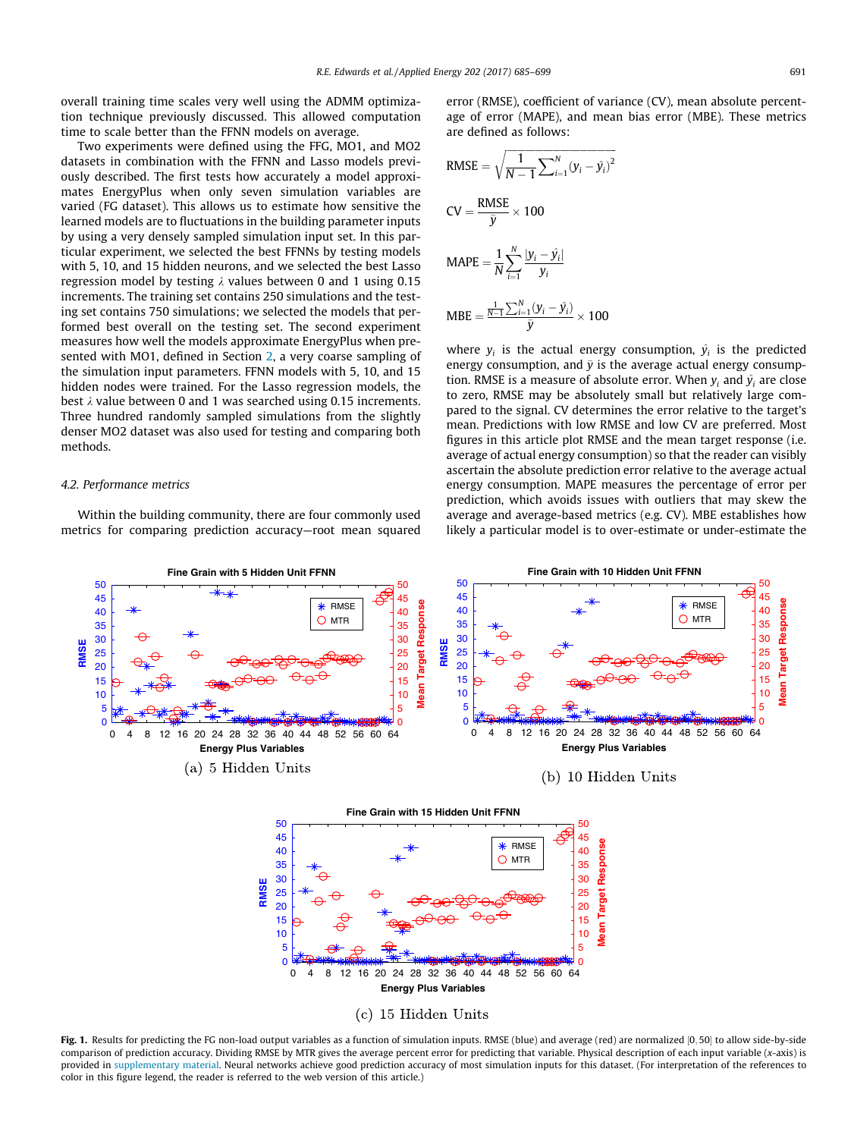<span id="page-6-0"></span>overall training time scales very well using the ADMM optimization technique previously discussed. This allowed computation time to scale better than the FFNN models on average.

Two experiments were defined using the FFG, MO1, and MO2 datasets in combination with the FFNN and Lasso models previously described. The first tests how accurately a model approximates EnergyPlus when only seven simulation variables are varied (FG dataset). This allows us to estimate how sensitive the learned models are to fluctuations in the building parameter inputs by using a very densely sampled simulation input set. In this particular experiment, we selected the best FFNNs by testing models with 5, 10, and 15 hidden neurons, and we selected the best Lasso regression model by testing  $\lambda$  values between 0 and 1 using 0.15 increments. The training set contains 250 simulations and the testing set contains 750 simulations; we selected the models that performed best overall on the testing set. The second experiment measures how well the models approximate EnergyPlus when presented with MO1, defined in Section [2](#page-2-0), a very coarse sampling of the simulation input parameters. FFNN models with 5, 10, and 15 hidden nodes were trained. For the Lasso regression models, the best  $\lambda$  value between 0 and 1 was searched using 0.15 increments. Three hundred randomly sampled simulations from the slightly denser MO2 dataset was also used for testing and comparing both methods.

### 4.2. Performance metrics

Within the building community, there are four commonly used metrics for comparing prediction accuracy—root mean squared error (RMSE), coefficient of variance (CV), mean absolute percentage of error (MAPE), and mean bias error (MBE). These metrics are defined as follows:

RMSE = 
$$
\sqrt{\frac{1}{N-1} \sum_{i=1}^{N} (y_i - \hat{y}_i)^2}
$$
  
\nCV =  $\frac{\text{RMSE}}{\bar{y}} \times 100$   
\nMAPE =  $\frac{1}{N} \sum_{i=1}^{N} \frac{|y_i - \hat{y}_i|}{y_i}$   
\nMBE =  $\frac{\frac{1}{N-1} \sum_{i=1}^{N} (y_i - \hat{y}_i)}{\bar{y}} \times 100$ 

where  $y_i$  is the actual energy consumption,  $\hat{y}_i$  is the predicted energy consumption, and  $\bar{y}$  is the average actual energy consumption. RMSE is a measure of absolute error. When  $y_i$  and  $\hat{y}_i$  are close to zero, RMSE may be absolutely small but relatively large compared to the signal. CV determines the error relative to the target's mean. Predictions with low RMSE and low CV are preferred. Most figures in this article plot RMSE and the mean target response (i.e. average of actual energy consumption) so that the reader can visibly ascertain the absolute prediction error relative to the average actual energy consumption. MAPE measures the percentage of error per prediction, which avoids issues with outliers that may skew the average and average-based metrics (e.g. CV). MBE establishes how likely a particular model is to over-estimate or under-estimate the



Fig. 1. Results for predicting the FG non-load output variables as a function of simulation inputs. RMSE (blue) and average (red) are normalized [0, 50] to allow side-by-side comparison of prediction accuracy. Dividing RMSE by MTR gives the average percent error for predicting that variable. Physical description of each input variable (x-axis) is provided in supplementary material. Neural networks achieve good prediction accuracy of most simulation inputs for this dataset. (For interpretation of the references to color in this figure legend, the reader is referred to the web version of this article.)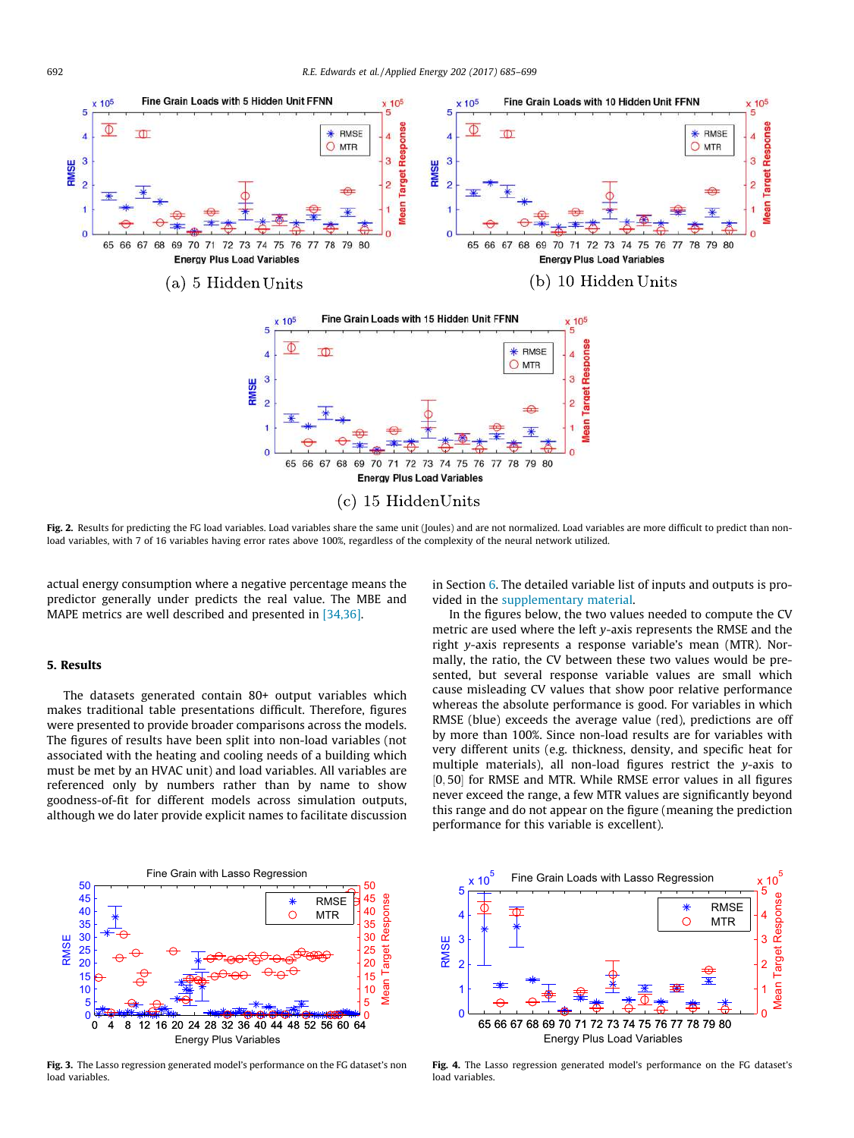<span id="page-7-0"></span>

Fig. 2. Results for predicting the FG load variables. Load variables share the same unit (Joules) and are not normalized. Load variables are more difficult to predict than nonload variables, with 7 of 16 variables having error rates above 100%, regardless of the complexity of the neural network utilized.

actual energy consumption where a negative percentage means the predictor generally under predicts the real value. The MBE and MAPE metrics are well described and presented in [\[34,36\].](#page-14-0)

### 5. Results

The datasets generated contain 80+ output variables which makes traditional table presentations difficult. Therefore, figures were presented to provide broader comparisons across the models. The figures of results have been split into non-load variables (not associated with the heating and cooling needs of a building which must be met by an HVAC unit) and load variables. All variables are referenced only by numbers rather than by name to show goodness-of-fit for different models across simulation outputs, although we do later provide explicit names to facilitate discussion



Fig. 3. The Lasso regression generated model's performance on the FG dataset's non load variables.

in Section [6.](#page-11-0) The detailed variable list of inputs and outputs is provided in the supplementary material.

In the figures below, the two values needed to compute the CV metric are used where the left y-axis represents the RMSE and the right y-axis represents a response variable's mean (MTR). Normally, the ratio, the CV between these two values would be presented, but several response variable values are small which cause misleading CV values that show poor relative performance whereas the absolute performance is good. For variables in which RMSE (blue) exceeds the average value (red), predictions are off by more than 100%. Since non-load results are for variables with very different units (e.g. thickness, density, and specific heat for multiple materials), all non-load figures restrict the y-axis to [0, 50] for RMSE and MTR. While RMSE error values in all figures never exceed the range, a few MTR values are significantly beyond this range and do not appear on the figure (meaning the prediction performance for this variable is excellent).



Fig. 4. The Lasso regression generated model's performance on the FG dataset's load variables.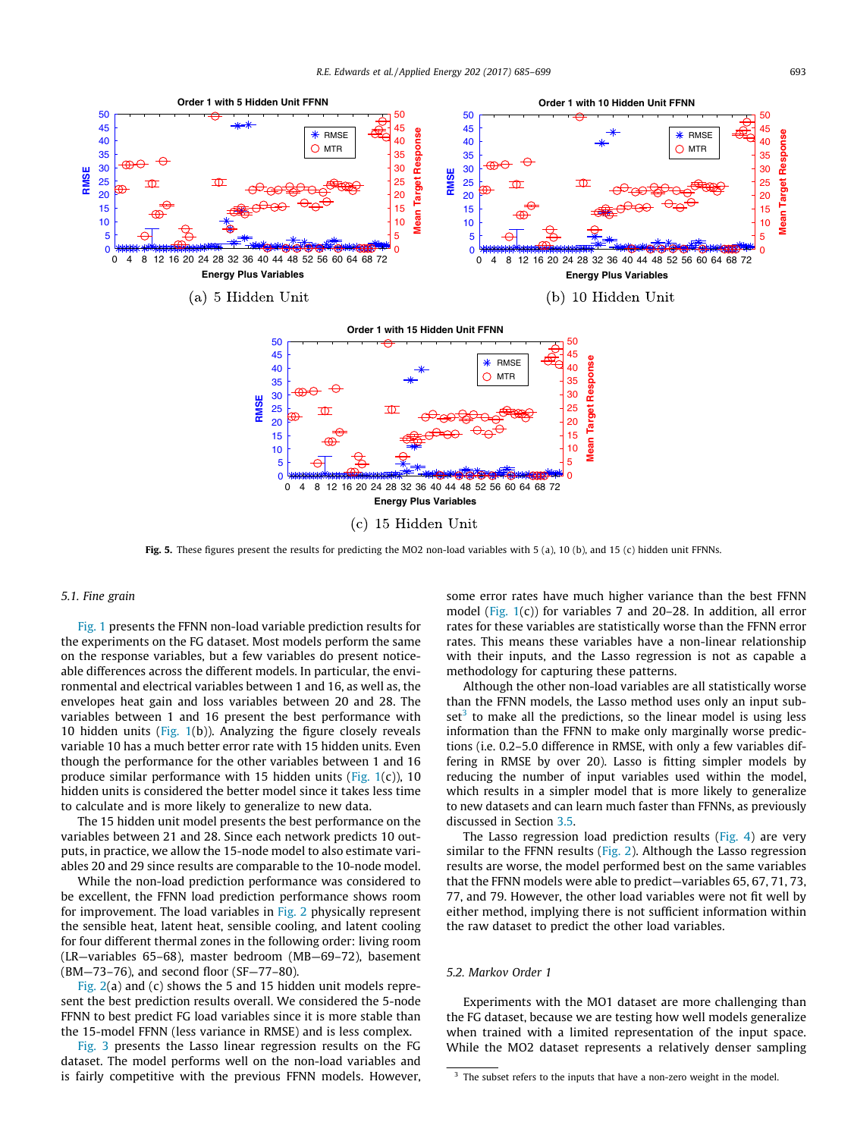<span id="page-8-0"></span>

Fig. 5. These figures present the results for predicting the MO2 non-load variables with 5 (a), 10 (b), and 15 (c) hidden unit FFNNs.

### 5.1. Fine grain

[Fig. 1](#page-6-0) presents the FFNN non-load variable prediction results for the experiments on the FG dataset. Most models perform the same on the response variables, but a few variables do present noticeable differences across the different models. In particular, the environmental and electrical variables between 1 and 16, as well as, the envelopes heat gain and loss variables between 20 and 28. The variables between 1 and 16 present the best performance with 10 hidden units (Fig.  $1(b)$ ). Analyzing the figure closely reveals variable 10 has a much better error rate with 15 hidden units. Even though the performance for the other variables between 1 and 16 produce similar performance with 15 hidden units (Fig.  $1(c)$ ), 10 hidden units is considered the better model since it takes less time to calculate and is more likely to generalize to new data.

The 15 hidden unit model presents the best performance on the variables between 21 and 28. Since each network predicts 10 outputs, in practice, we allow the 15-node model to also estimate variables 20 and 29 since results are comparable to the 10-node model.

While the non-load prediction performance was considered to be excellent, the FFNN load prediction performance shows room for improvement. The load variables in [Fig. 2](#page-7-0) physically represent the sensible heat, latent heat, sensible cooling, and latent cooling for four different thermal zones in the following order: living room (LR—variables 65–68), master bedroom (MB—69–72), basement (BM—73–76), and second floor (SF—77–80).

[Fig. 2\(](#page-7-0)a) and (c) shows the 5 and 15 hidden unit models represent the best prediction results overall. We considered the 5-node FFNN to best predict FG load variables since it is more stable than the 15-model FFNN (less variance in RMSE) and is less complex.

[Fig. 3](#page-7-0) presents the Lasso linear regression results on the FG dataset. The model performs well on the non-load variables and is fairly competitive with the previous FFNN models. However, some error rates have much higher variance than the best FFNN model ([Fig. 1\(](#page-6-0)c)) for variables 7 and 20–28. In addition, all error rates for these variables are statistically worse than the FFNN error rates. This means these variables have a non-linear relationship with their inputs, and the Lasso regression is not as capable a methodology for capturing these patterns.

Although the other non-load variables are all statistically worse than the FFNN models, the Lasso method uses only an input sub $set<sup>3</sup>$  to make all the predictions, so the linear model is using less information than the FFNN to make only marginally worse predictions (i.e. 0.2–5.0 difference in RMSE, with only a few variables differing in RMSE by over 20). Lasso is fitting simpler models by reducing the number of input variables used within the model, which results in a simpler model that is more likely to generalize to new datasets and can learn much faster than FFNNs, as previously discussed in Section [3.5.](#page-5-0)

The Lasso regression load prediction results [\(Fig. 4\)](#page-7-0) are very similar to the FFNN results [\(Fig. 2\)](#page-7-0). Although the Lasso regression results are worse, the model performed best on the same variables that the FFNN models were able to predict—variables 65, 67, 71, 73, 77, and 79. However, the other load variables were not fit well by either method, implying there is not sufficient information within the raw dataset to predict the other load variables.

### 5.2. Markov Order 1

Experiments with the MO1 dataset are more challenging than the FG dataset, because we are testing how well models generalize when trained with a limited representation of the input space. While the MO2 dataset represents a relatively denser sampling

<sup>&</sup>lt;sup>3</sup> The subset refers to the inputs that have a non-zero weight in the model.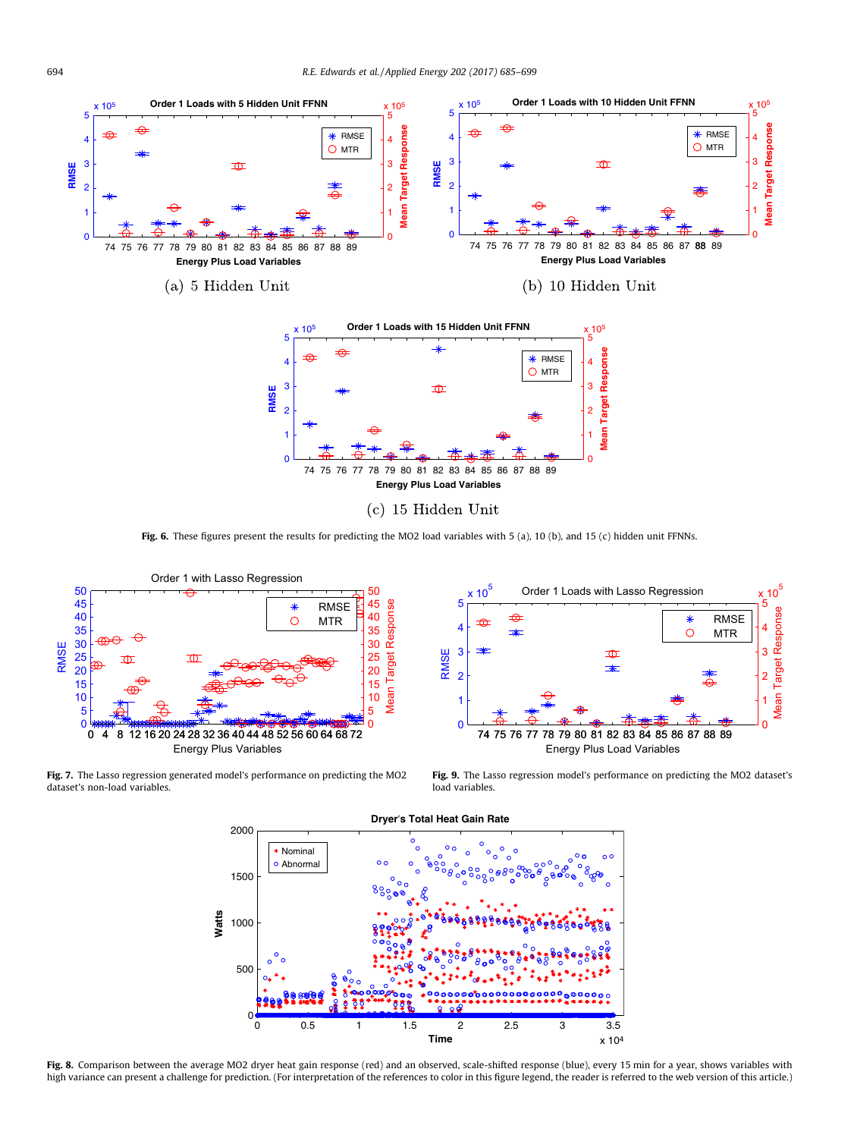<span id="page-9-0"></span>

Fig. 6. These figures present the results for predicting the MO2 load variables with 5 (a), 10 (b), and 15 (c) hidden unit FFNNs.



Fig. 7. The Lasso regression generated model's performance on predicting the MO2 dataset's non-load variables.



Fig. 9. The Lasso regression model's performance on predicting the MO2 dataset's load variables.



Fig. 8. Comparison between the average MO2 dryer heat gain response (red) and an observed, scale-shifted response (blue), every 15 min for a year, shows variables with high variance can present a challenge for prediction. (For interpretation of the references to color in this figure legend, the reader is referred to the web version of this article.)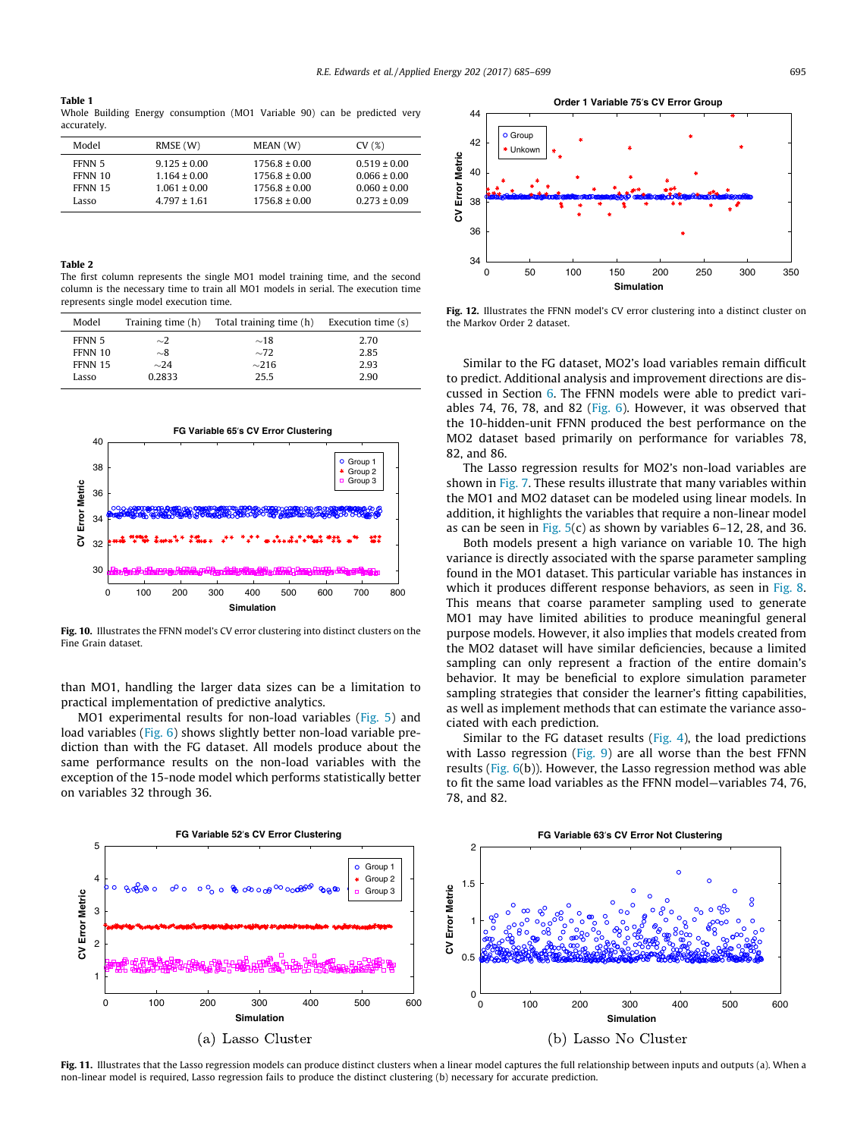#### <span id="page-10-0"></span>Table 1

Whole Building Energy consumption (MO1 Variable 90) can be predicted very accurately.

| Model   | RMSE (W)         | MEAN (W)          | CV(%)            |
|---------|------------------|-------------------|------------------|
| FFNN 5  | $9.125 \pm 0.00$ | $1756.8 \pm 0.00$ | $0.519 \pm 0.00$ |
| FFNN 10 | $1.164 \pm 0.00$ | $1756.8 \pm 0.00$ | $0.066 \pm 0.00$ |
| FFNN 15 | $1.061 \pm 0.00$ | $1756.8 \pm 0.00$ | $0.060 \pm 0.00$ |
| Lasso   | $4.797 \pm 1.61$ | $1756.8 \pm 0.00$ | $0.273 \pm 0.09$ |
|         |                  |                   |                  |

### Table 2

The first column represents the single MO1 model training time, and the second column is the necessary time to train all MO1 models in serial. The execution time represents single model execution time.

| Model   | Training time (h) | Total training time (h) | Execution time (s) |
|---------|-------------------|-------------------------|--------------------|
| FFNN 5  | $\sim$ 2          | $\sim$ 18               | 2.70               |
| FFNN 10 | $\sim\!\!8$       | $\sim$ 72               | 2.85               |
| FFNN 15 | $\sim$ 24         | $\sim$ 216              | 2.93               |
| Lasso   | 0.2833            | 25.5                    | 2.90               |



Fig. 10. Illustrates the FFNN model's CV error clustering into distinct clusters on the Fine Grain dataset.

than MO1, handling the larger data sizes can be a limitation to practical implementation of predictive analytics.

MO1 experimental results for non-load variables [\(Fig. 5\)](#page-8-0) and load variables ([Fig. 6\)](#page-9-0) shows slightly better non-load variable prediction than with the FG dataset. All models produce about the same performance results on the non-load variables with the exception of the 15-node model which performs statistically better on variables 32 through 36.



Fig. 12. Illustrates the FFNN model's CV error clustering into a distinct cluster on the Markov Order 2 dataset.

Similar to the FG dataset, MO2's load variables remain difficult to predict. Additional analysis and improvement directions are discussed in Section [6](#page-11-0). The FFNN models were able to predict variables 74, 76, 78, and 82 ([Fig. 6](#page-9-0)). However, it was observed that the 10-hidden-unit FFNN produced the best performance on the MO2 dataset based primarily on performance for variables 78, 82, and 86.

The Lasso regression results for MO2's non-load variables are shown in [Fig. 7.](#page-9-0) These results illustrate that many variables within the MO1 and MO2 dataset can be modeled using linear models. In addition, it highlights the variables that require a non-linear model as can be seen in Fig.  $5(c)$  as shown by variables 6–12, 28, and 36.

Both models present a high variance on variable 10. The high variance is directly associated with the sparse parameter sampling found in the MO1 dataset. This particular variable has instances in which it produces different response behaviors, as seen in [Fig. 8.](#page-9-0) This means that coarse parameter sampling used to generate MO1 may have limited abilities to produce meaningful general purpose models. However, it also implies that models created from the MO2 dataset will have similar deficiencies, because a limited sampling can only represent a fraction of the entire domain's behavior. It may be beneficial to explore simulation parameter sampling strategies that consider the learner's fitting capabilities, as well as implement methods that can estimate the variance associated with each prediction.

Similar to the FG dataset results ([Fig. 4\)](#page-7-0), the load predictions with Lasso regression [\(Fig. 9\)](#page-9-0) are all worse than the best FFNN results [\(Fig. 6\(](#page-9-0)b)). However, the Lasso regression method was able to fit the same load variables as the FFNN model—variables 74, 76, 78, and 82.



Fig. 11. Illustrates that the Lasso regression models can produce distinct clusters when a linear model captures the full relationship between inputs and outputs (a). When a non-linear model is required, Lasso regression fails to produce the distinct clustering (b) necessary for accurate prediction.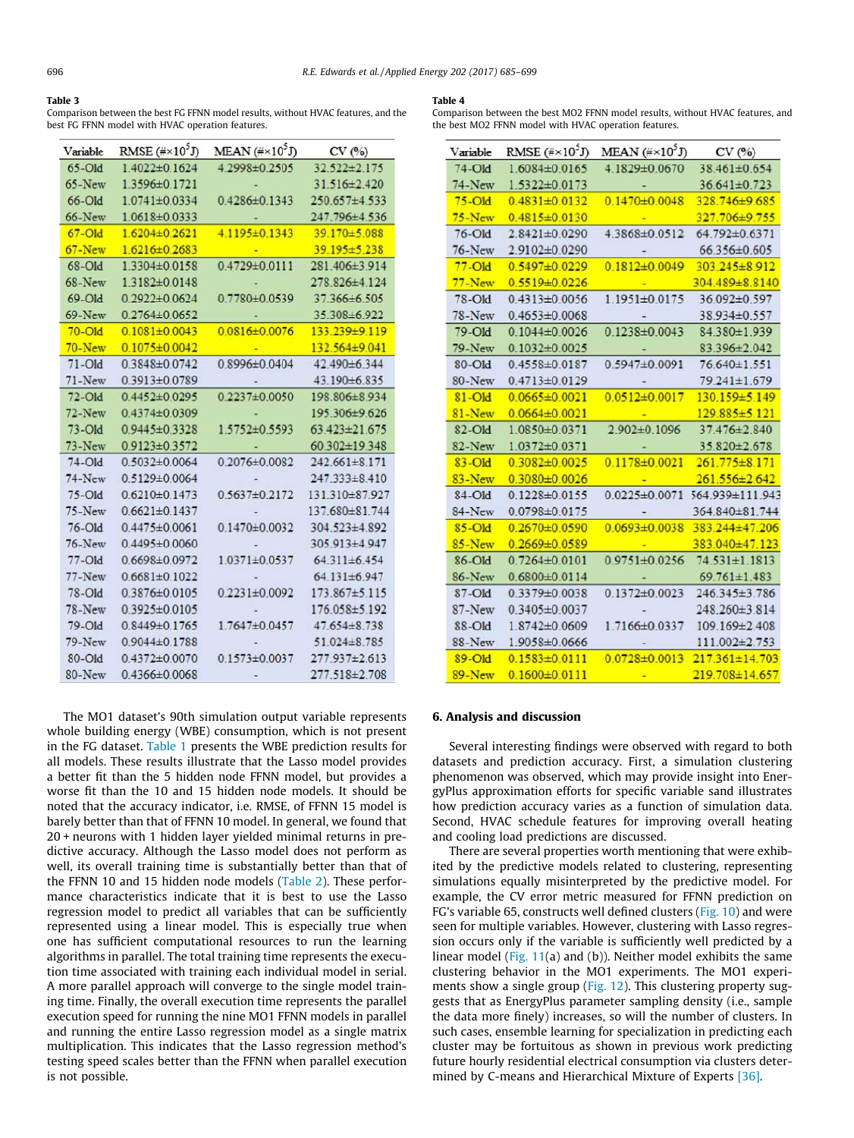#### <span id="page-11-0"></span>Table 3

Comparison between the best FG FFNN model results, without HVAC features, and the best FG FFNN model with HVAC operation features.

| Variable      | RMSE $(**10^5J)$    | MEAN $(\# \times 10^5 J)$ | CV(%)               |
|---------------|---------------------|---------------------------|---------------------|
| $65$ -Old     | 1.4022±0.1624       | 4 2998±0 2505             | 32 522 ± 2 175      |
| $65$ -New     | 1.3596±0.1721       |                           | 31.516±2.420        |
| 66-Old        | $1.0741 \pm 0.0334$ | 0.4286±0.1343             | 250.657±4.533       |
| <b>66-New</b> | 1.0618±0.0333       |                           | 247.796±4.536       |
| $67 - Old$    | $1.6204 \pm 0.2621$ | 4.1195±0.1343             | 39.170±5.088        |
| $67 - New$    | 1.6216±0.2683       |                           | 39.195±5.238        |
| 68-Old        | 1.3304±0.0158       | $0.4729 \pm 0.0111$       | 281.406±3.914       |
| $68$ -New     | 1.3182±0.0148       |                           | 278.826±4.124       |
| 69-Old        | $0.2922 \pm 0.0624$ | 0.7780±0.0539             | 37.366±6.505        |
| $69$ -New     | $0.2764 \pm 0.0652$ |                           | 35.308±6.922        |
| $70 -$ Old    | $0.1081 \pm 0.0043$ | $0.0816\pm0.0076$         | 133.239±9.119       |
| $70 - New$    | $0.1075 \pm 0.0042$ |                           | 132.564±9.041       |
| $71 - Old$    | 03848±00742         | 0.8996±0.0404             | 42 490±6 344        |
| $71$ -New     | 0.3913±0.0789       |                           | 43.190±6.835        |
| $72 - Old$    | $0.4452 \pm 0.0295$ | $0.2237 \pm 0.0050$       | 198.806±8.934       |
| $72$ -New     | $0.4374 \pm 0.0309$ |                           | 195.306±9.626       |
| $73 - Old$    | 0.9445±0.3328       | $1.5752 \pm 0.5593$       | $63.423 \pm 21.675$ |
| $73-New$      | $0.9123 \pm 0.3572$ |                           | 60.302±19.348       |
| $74 - Old$    | $0.5032 \pm 0.0064$ | 0.2076±0.0082             | $242.661 \pm 8.171$ |
| $74$ -New     | $0.5129 \pm 0.0064$ |                           | 247.333±8.410       |
| $75 - Old$    | $0.6210 \pm 0.1473$ | $0.5637 \pm 0.2172$       | 131.310 ± 87.927    |
| 75-New        | $0.6621 \pm 0.1437$ |                           | 137.680±81.744      |
| 76-Old        | $0.4475 \pm 0.0061$ | $0.1470 + 0.0032$         | 304.523±4.892       |
| $76$ -New     | $0.4495 \pm 0.0060$ |                           | 305.913±4.947       |
| $77 - Old$    | 0.6698±0.0972       | 1.0371±0.0537             | 64.311±6.454        |
| 77-New        | $0.6681\pm0.1022$   |                           | 64.131±6.947        |
| 78-Old        | 0.3876±0.0105       | $0.2231 \pm 0.0092$       | $173.867 \pm 5.115$ |
| 78-New        | $0.3925 \pm 0.0105$ |                           | 176.058±5.192       |
| 79-Old        | $0.8449 \pm 0.1765$ | $1.7647\pm0.0457$         | $47.654 \pm 8.738$  |
| 79-New        | $0.9044\pm0.1788$   |                           | $51.024 \pm 8.785$  |
| 80-Old        | $0.4372 \pm 0.0070$ | $0.1573 \pm 0.0037$       | 277.937±2.613       |
| 80-New        | $0.4366\pm0.0068$   |                           | 277.518±2.708       |

The MO1 dataset's 90th simulation output variable represents whole building energy (WBE) consumption, which is not present in the FG dataset. [Table 1](#page-10-0) presents the WBE prediction results for all models. These results illustrate that the Lasso model provides a better fit than the 5 hidden node FFNN model, but provides a worse fit than the 10 and 15 hidden node models. It should be noted that the accuracy indicator, i.e. RMSE, of FFNN 15 model is barely better than that of FFNN 10 model. In general, we found that 20 + neurons with 1 hidden layer yielded minimal returns in predictive accuracy. Although the Lasso model does not perform as well, its overall training time is substantially better than that of the FFNN 10 and 15 hidden node models ([Table 2\)](#page-10-0). These performance characteristics indicate that it is best to use the Lasso regression model to predict all variables that can be sufficiently represented using a linear model. This is especially true when one has sufficient computational resources to run the learning algorithms in parallel. The total training time represents the execution time associated with training each individual model in serial. A more parallel approach will converge to the single model training time. Finally, the overall execution time represents the parallel execution speed for running the nine MO1 FFNN models in parallel and running the entire Lasso regression model as a single matrix multiplication. This indicates that the Lasso regression method's testing speed scales better than the FFNN when parallel execution is not possible.

#### Table 4

Comparison between the best MO2 FFNN model results, without HVAC features, and the best MO2 FFNN model with HVAC operation features.

| Variable      | RMSE $(**10^5J)$    | MEAN $(\# \times 10^5 J)$ | CV(%)                |
|---------------|---------------------|---------------------------|----------------------|
| 74-Old        | 1.6084±0.0165       | 4.1829±0.0670             | 38.461±0.654         |
| 74-New        | 1.5322±0.0173       |                           | 36.641±0.723         |
| $75 - Old$    | $0.4831 \pm 0.0132$ | $0.1470 \pm 0.0048$       | 328.746±9.685        |
| $75 - New$    | $0.4815 \pm 0.0130$ |                           | 327.706±9.755        |
| $76 - Old$    | 2.8421±0.0290       | 4.3868±0.0512             | 64.792±0.6371        |
| <b>76-New</b> | 2.9102±0.0290       |                           | 66.356±0.605         |
| $77 - Old$    | $0.5497 + 0.0229$   | $0.1812 \pm 0.0049$       | 303.245±8.912        |
| $77 - New$    | $0.5519 \pm 0.0226$ |                           | 304.489±8.8140       |
| 78-Old        | $0.4313 \pm 0.0056$ | 1.1951±0.0175             | 36.092±0.597         |
| 78-New        | $0.4653\pm0.0068$   |                           | 38.934±0.557         |
| 79-Old        | $0.1044 \pm 0.0026$ | $0.1238 \pm 0.0043$       | 84.380±1.939         |
| 79-New        | $0.1032 \pm 0.0025$ |                           | 83.396±2.042         |
| 80-Old        | $0.4558 \pm 0.0187$ | $0.5947\pm0.0091$         | 76.640±1.551         |
| 80-New        | $0.4713 \pm 0.0129$ |                           | 79.241±1.679         |
| 81-Old        | $0.0665 \pm 0.0021$ | $0.0512 \pm 0.0017$       | 130.159±5.149        |
| $81 - New$    | $0.0664 \pm 0.0021$ |                           | 129.885±5.121        |
| 82-Old        | 1.0850±0.0371       | $2.902\pm0.1096$          | 37.476±2.840         |
| 82-New        | 1.0372±0.0371       |                           | 35.820±2.678         |
| 83-Old        | $0.3082 \pm 0.0025$ | 0.1178±0.0021             | 261.775±8.171        |
| $83 - New$    | 0.3080±0.0026       |                           | $261.556 \pm 2.642$  |
| $84 - Old$    | $0.1228 \pm 0.0155$ | $0.0225 \pm 0.0071$       | 564.939±111.943      |
| 84-New        | $0.0798 \pm 0.0175$ |                           | 364.840±81.744       |
| 85-Old        | $0.2670 + 0.0590$   | $0.0693 \pm 0.0038$       | 383.244±47.206       |
| $85-New$      | $0.2669 \pm 0.0589$ |                           | 383.040±47.123       |
| 86-Old        | $0.7264 \pm 0.0101$ | $0.9751 \pm 0.0256$       | 74.531±1.1813        |
| 86-New        | $0.6800 \pm 0.0114$ |                           | 69.761±1.483         |
| 87-Old        | 0.3379±0.0038       | $0.1372 \pm 0.0023$       | 246.345±3.786        |
| 87-New        | $0.3405 \pm 0.0037$ |                           | 248.260±3.814        |
| 88-Old        | 1.8742±0.0609       | 1.7166±0.0337             | 109.169±2.408        |
| 88-New        | 1.9058±0.0666       |                           | 111.002±2.753        |
| 89-Old        | $0.1583 \pm 0.0111$ | $0.0728 \pm 0.0013$       | $217.361 \pm 14.703$ |
| 89-New        | $0.1600 \pm 0.0111$ |                           | 219.708±14.657       |

### 6. Analysis and discussion

Several interesting findings were observed with regard to both datasets and prediction accuracy. First, a simulation clustering phenomenon was observed, which may provide insight into EnergyPlus approximation efforts for specific variable sand illustrates how prediction accuracy varies as a function of simulation data. Second, HVAC schedule features for improving overall heating and cooling load predictions are discussed.

There are several properties worth mentioning that were exhibited by the predictive models related to clustering, representing simulations equally misinterpreted by the predictive model. For example, the CV error metric measured for FFNN prediction on FG's variable 65, constructs well defined clusters ([Fig. 10\)](#page-10-0) and were seen for multiple variables. However, clustering with Lasso regression occurs only if the variable is sufficiently well predicted by a linear model (Fig.  $11(a)$  and (b)). Neither model exhibits the same clustering behavior in the MO1 experiments. The MO1 experi-ments show a single group [\(Fig. 12](#page-10-0)). This clustering property suggests that as EnergyPlus parameter sampling density (i.e., sample the data more finely) increases, so will the number of clusters. In such cases, ensemble learning for specialization in predicting each cluster may be fortuitous as shown in previous work predicting future hourly residential electrical consumption via clusters deter-mined by C-means and Hierarchical Mixture of Experts [\[36\]](#page-14-0).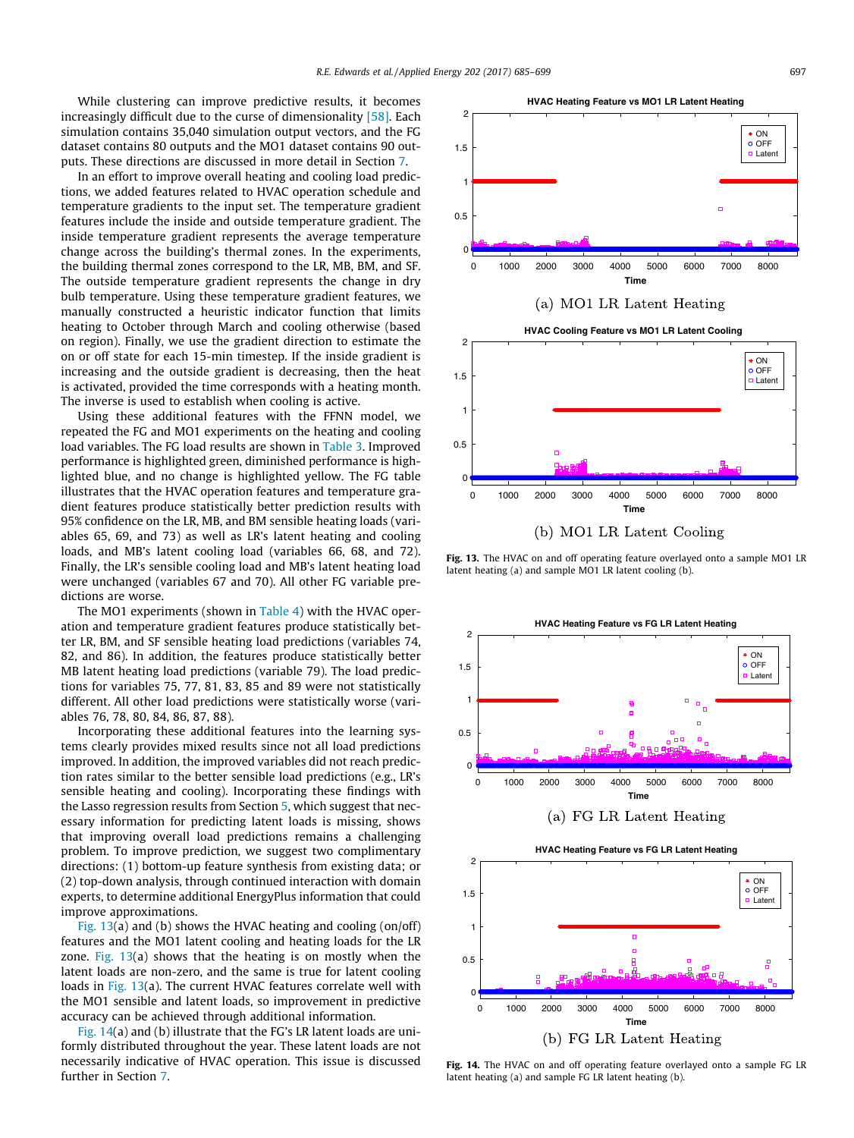1.5

2

While clustering can improve predictive results, it becomes increasingly difficult due to the curse of dimensionality [\[58\]](#page-14-0). Each simulation contains 35,040 simulation output vectors, and the FG dataset contains 80 outputs and the MO1 dataset contains 90 outputs. These directions are discussed in more detail in Section [7.](#page-13-0)

In an effort to improve overall heating and cooling load predictions, we added features related to HVAC operation schedule and temperature gradients to the input set. The temperature gradient features include the inside and outside temperature gradient. The inside temperature gradient represents the average temperature change across the building's thermal zones. In the experiments, the building thermal zones correspond to the LR, MB, BM, and SF. The outside temperature gradient represents the change in dry bulb temperature. Using these temperature gradient features, we manually constructed a heuristic indicator function that limits heating to October through March and cooling otherwise (based on region). Finally, we use the gradient direction to estimate the on or off state for each 15-min timestep. If the inside gradient is increasing and the outside gradient is decreasing, then the heat is activated, provided the time corresponds with a heating month. The inverse is used to establish when cooling is active.

Using these additional features with the FFNN model, we repeated the FG and MO1 experiments on the heating and cooling load variables. The FG load results are shown in [Table 3.](#page-11-0) Improved performance is highlighted green, diminished performance is highlighted blue, and no change is highlighted yellow. The FG table illustrates that the HVAC operation features and temperature gradient features produce statistically better prediction results with 95% confidence on the LR, MB, and BM sensible heating loads (variables 65, 69, and 73) as well as LR's latent heating and cooling loads, and MB's latent cooling load (variables 66, 68, and 72). Finally, the LR's sensible cooling load and MB's latent heating load were unchanged (variables 67 and 70). All other FG variable predictions are worse.

The MO1 experiments (shown in [Table 4\)](#page-11-0) with the HVAC operation and temperature gradient features produce statistically better LR, BM, and SF sensible heating load predictions (variables 74, 82, and 86). In addition, the features produce statistically better MB latent heating load predictions (variable 79). The load predictions for variables 75, 77, 81, 83, 85 and 89 were not statistically different. All other load predictions were statistically worse (variables 76, 78, 80, 84, 86, 87, 88).

Incorporating these additional features into the learning systems clearly provides mixed results since not all load predictions improved. In addition, the improved variables did not reach prediction rates similar to the better sensible load predictions (e.g., LR's sensible heating and cooling). Incorporating these findings with the Lasso regression results from Section [5,](#page-7-0) which suggest that necessary information for predicting latent loads is missing, shows that improving overall load predictions remains a challenging problem. To improve prediction, we suggest two complimentary directions: (1) bottom-up feature synthesis from existing data; or (2) top-down analysis, through continued interaction with domain experts, to determine additional EnergyPlus information that could improve approximations.

Fig. 13(a) and (b) shows the HVAC heating and cooling (on/off) features and the MO1 latent cooling and heating loads for the LR zone. Fig.  $13(a)$  shows that the heating is on mostly when the latent loads are non-zero, and the same is true for latent cooling loads in Fig. 13(a). The current HVAC features correlate well with the MO1 sensible and latent loads, so improvement in predictive accuracy can be achieved through additional information.

Fig. 14(a) and (b) illustrate that the FG's LR latent loads are uniformly distributed throughout the year. These latent loads are not necessarily indicative of HVAC operation. This issue is discussed further in Section [7.](#page-13-0)



Fig. 13. The HVAC on and off operating feature overlayed onto a sample MO1 LR latent heating (a) and sample MO1 LR latent cooling (b).



 $*$  ON  $\overline{O}$   $\overline{O}$ Latent

Fig. 14. The HVAC on and off operating feature overlayed onto a sample FG LR latent heating (a) and sample FG LR latent heating (b).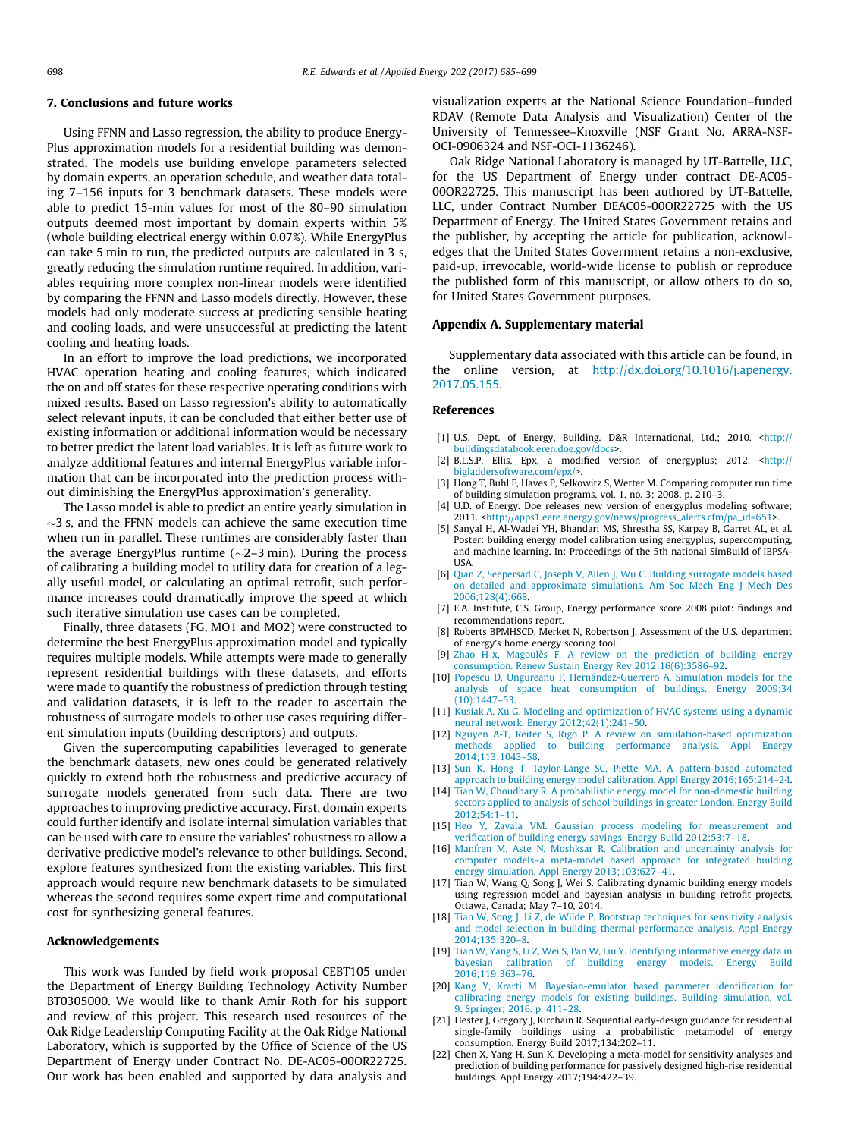### <span id="page-13-0"></span>7. Conclusions and future works

Using FFNN and Lasso regression, the ability to produce Energy-Plus approximation models for a residential building was demonstrated. The models use building envelope parameters selected by domain experts, an operation schedule, and weather data totaling 7–156 inputs for 3 benchmark datasets. These models were able to predict 15-min values for most of the 80–90 simulation outputs deemed most important by domain experts within 5% (whole building electrical energy within 0.07%). While EnergyPlus can take 5 min to run, the predicted outputs are calculated in 3 s, greatly reducing the simulation runtime required. In addition, variables requiring more complex non-linear models were identified by comparing the FFNN and Lasso models directly. However, these models had only moderate success at predicting sensible heating and cooling loads, and were unsuccessful at predicting the latent cooling and heating loads.

In an effort to improve the load predictions, we incorporated HVAC operation heating and cooling features, which indicated the on and off states for these respective operating conditions with mixed results. Based on Lasso regression's ability to automatically select relevant inputs, it can be concluded that either better use of existing information or additional information would be necessary to better predict the latent load variables. It is left as future work to analyze additional features and internal EnergyPlus variable information that can be incorporated into the prediction process without diminishing the EnergyPlus approximation's generality.

The Lasso model is able to predict an entire yearly simulation in  $\sim$ 3 s, and the FFNN models can achieve the same execution time when run in parallel. These runtimes are considerably faster than the average EnergyPlus runtime  $(\sim 2-3 \text{ min})$ . During the process of calibrating a building model to utility data for creation of a legally useful model, or calculating an optimal retrofit, such performance increases could dramatically improve the speed at which such iterative simulation use cases can be completed.

Finally, three datasets (FG, MO1 and MO2) were constructed to determine the best EnergyPlus approximation model and typically requires multiple models. While attempts were made to generally represent residential buildings with these datasets, and efforts were made to quantify the robustness of prediction through testing and validation datasets, it is left to the reader to ascertain the robustness of surrogate models to other use cases requiring different simulation inputs (building descriptors) and outputs.

Given the supercomputing capabilities leveraged to generate the benchmark datasets, new ones could be generated relatively quickly to extend both the robustness and predictive accuracy of surrogate models generated from such data. There are two approaches to improving predictive accuracy. First, domain experts could further identify and isolate internal simulation variables that can be used with care to ensure the variables' robustness to allow a derivative predictive model's relevance to other buildings. Second, explore features synthesized from the existing variables. This first approach would require new benchmark datasets to be simulated whereas the second requires some expert time and computational cost for synthesizing general features.

### Acknowledgements

This work was funded by field work proposal CEBT105 under the Department of Energy Building Technology Activity Number BT0305000. We would like to thank Amir Roth for his support and review of this project. This research used resources of the Oak Ridge Leadership Computing Facility at the Oak Ridge National Laboratory, which is supported by the Office of Science of the US Department of Energy under Contract No. DE-AC05-00OR22725. Our work has been enabled and supported by data analysis and

visualization experts at the National Science Foundation–funded RDAV (Remote Data Analysis and Visualization) Center of the University of Tennessee–Knoxville (NSF Grant No. ARRA-NSF-OCI-0906324 and NSF-OCI-1136246).

Oak Ridge National Laboratory is managed by UT-Battelle, LLC, for the US Department of Energy under contract DE-AC05- 00OR22725. This manuscript has been authored by UT-Battelle, LLC, under Contract Number DEAC05-00OR22725 with the US Department of Energy. The United States Government retains and the publisher, by accepting the article for publication, acknowledges that the United States Government retains a non-exclusive, paid-up, irrevocable, world-wide license to publish or reproduce the published form of this manuscript, or allow others to do so, for United States Government purposes.

#### Appendix A. Supplementary material

Supplementary data associated with this article can be found, in the online version, at [http://dx.doi.org/10.1016/j.apenergy.](http://dx.doi.org/10.1016/j.apenergy.2017.05.155) [2017.05.155](http://dx.doi.org/10.1016/j.apenergy.2017.05.155).

#### References

- [1] U.S. Dept. of Energy, Building. D&R International, Ltd.; 2010. [<http://](http://buildingsdatabook.eren.doe.gov/docs) [buildingsdatabook.eren.doe.gov/docs](http://buildingsdatabook.eren.doe.gov/docs)>.
- [2] B.L.S.P. Ellis, Epx, a modified version of energyplus; 2012. [<http://](http://bigladdersoftware.com/epx/) [bigladdersoftware.com/epx/>](http://bigladdersoftware.com/epx/).
- [3] Hong T, Buhl F, Haves P, Selkowitz S, Wetter M. Comparing computer run time of building simulation programs, vol. 1, no. 3; 2008, p. 210–3.
- [4] U.D. of Energy. Doe releases new version of energyplus modeling software; 2011. [<http://apps1.eere.energy.gov/news/progress\\_alerts.cfm/pa\\_id=651>](http://apps1.eere.energy.gov/news/progress_alerts.cfm/pa_id=651).
- [5] Sanyal H, Al-Wadei YH, Bhandari MS, Shrestha SS, Karpay B, Garret AL, et al. Poster: building energy model calibration using energyplus, supercomputing, and machine learning. In: Proceedings of the 5th national SimBuild of IBPSA-**IISA**
- [6] [Qian Z, Seepersad C, Joseph V, Allen J, Wu C. Building surrogate models based](http://refhub.elsevier.com/S0306-2619(17)30704-3/h0030) [on detailed and approximate simulations. Am Soc Mech Eng J Mech Des](http://refhub.elsevier.com/S0306-2619(17)30704-3/h0030) [2006;128\(4\):668.](http://refhub.elsevier.com/S0306-2619(17)30704-3/h0030)
- [7] E.A. Institute, C.S. Group, Energy performance score 2008 pilot: findings and recommendations report.
- Roberts BPMHSCD, Merket N, Robertson J. Assessment of the U.S. department of energy's home energy scoring tool.
- [9] [Zhao H-x, Magoulès F. A review on the prediction of building energy](http://refhub.elsevier.com/S0306-2619(17)30704-3/h0045) [consumption. Renew Sustain Energy Rev 2012;16\(6\):3586–92.](http://refhub.elsevier.com/S0306-2619(17)30704-3/h0045)
- [10] [Popescu D, Ungureanu F, Hernández-Guerrero A. Simulation models for the](http://refhub.elsevier.com/S0306-2619(17)30704-3/h0050) [analysis of space heat consumption of buildings. Energy 2009;34](http://refhub.elsevier.com/S0306-2619(17)30704-3/h0050) [\(10\):1447–53.](http://refhub.elsevier.com/S0306-2619(17)30704-3/h0050)
- [11] [Kusiak A, Xu G. Modeling and optimization of HVAC systems using a dynamic](http://refhub.elsevier.com/S0306-2619(17)30704-3/h0055) [neural network. Energy 2012;42\(1\):241–50.](http://refhub.elsevier.com/S0306-2619(17)30704-3/h0055)
- [12] [Nguyen A-T, Reiter S, Rigo P. A review on simulation-based optimization](http://refhub.elsevier.com/S0306-2619(17)30704-3/h0060) [methods applied to building performance analysis. Appl Energy](http://refhub.elsevier.com/S0306-2619(17)30704-3/h0060) [2014;113:1043–58](http://refhub.elsevier.com/S0306-2619(17)30704-3/h0060).
- [13] [Sun K, Hong T, Taylor-Lange SC, Piette MA. A pattern-based automated](http://refhub.elsevier.com/S0306-2619(17)30704-3/h0065) [approach to building energy model calibration. Appl Energy 2016;165:214–24](http://refhub.elsevier.com/S0306-2619(17)30704-3/h0065).
- [14] [Tian W, Choudhary R. A probabilistic energy model for non-domestic building](http://refhub.elsevier.com/S0306-2619(17)30704-3/h0070) [sectors applied to analysis of school buildings in greater London. Energy Build](http://refhub.elsevier.com/S0306-2619(17)30704-3/h0070) [2012;54:1–11](http://refhub.elsevier.com/S0306-2619(17)30704-3/h0070).
- [15] [Heo Y, Zavala VM. Gaussian process modeling for measurement and](http://refhub.elsevier.com/S0306-2619(17)30704-3/h0075) [verification of building energy savings. Energy Build 2012;53:7–18](http://refhub.elsevier.com/S0306-2619(17)30704-3/h0075).
- [16] [Manfren M, Aste N, Moshksar R. Calibration and uncertainty analysis for](http://refhub.elsevier.com/S0306-2619(17)30704-3/h0080) [computer models–a meta-model based approach for integrated building](http://refhub.elsevier.com/S0306-2619(17)30704-3/h0080) [energy simulation. Appl Energy 2013;103:627–41](http://refhub.elsevier.com/S0306-2619(17)30704-3/h0080).
- [17] Tian W, Wang Q, Song J, Wei S. Calibrating dynamic building energy models using regression model and bayesian analysis in building retrofit projects, Ottawa, Canada; May 7–10, 2014.
- [18] [Tian W, Song J, Li Z, de Wilde P. Bootstrap techniques for sensitivity analysis](http://refhub.elsevier.com/S0306-2619(17)30704-3/h0090) [and model selection in building thermal performance analysis. Appl Energy](http://refhub.elsevier.com/S0306-2619(17)30704-3/h0090) [2014;135:320–8.](http://refhub.elsevier.com/S0306-2619(17)30704-3/h0090)
- [19] [Tian W, Yang S, Li Z, Wei S, Pan W, Liu Y. Identifying informative energy data in](http://refhub.elsevier.com/S0306-2619(17)30704-3/h0095) bayesian calibration of building energy models. Energy [2016;119:363–76.](http://refhub.elsevier.com/S0306-2619(17)30704-3/h0095)
- [20] [Kang Y, Krarti M. Bayesian-emulator based parameter identification for](http://refhub.elsevier.com/S0306-2619(17)30704-3/h0100) [calibrating energy models for existing buildings. Building simulation, vol.](http://refhub.elsevier.com/S0306-2619(17)30704-3/h0100) [9. Springer; 2016. p. 411–28](http://refhub.elsevier.com/S0306-2619(17)30704-3/h0100).
- [21] Hester J, Gregory J, Kirchain R. Sequential early-design guidance for residential single-family buildings using a probabilistic metamodel of energy consumption. Energy Build 2017;134:202–11.
- [22] Chen X, Yang H, Sun K. Developing a meta-model for sensitivity analyses and prediction of building performance for passively designed high-rise residential buildings. Appl Energy 2017;194:422–39.